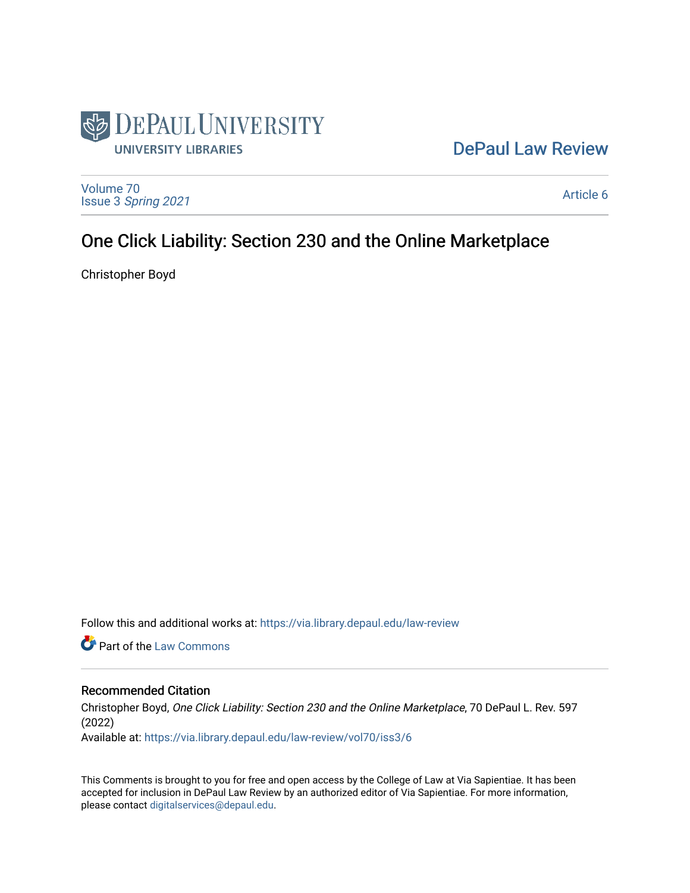

## [DePaul Law Review](https://via.library.depaul.edu/law-review)

[Volume 70](https://via.library.depaul.edu/law-review/vol70) Issue 3 [Spring 2021](https://via.library.depaul.edu/law-review/vol70/iss3) 

[Article 6](https://via.library.depaul.edu/law-review/vol70/iss3/6) 

# One Click Liability: Section 230 and the Online Marketplace

Christopher Boyd

Follow this and additional works at: [https://via.library.depaul.edu/law-review](https://via.library.depaul.edu/law-review?utm_source=via.library.depaul.edu%2Flaw-review%2Fvol70%2Fiss3%2F6&utm_medium=PDF&utm_campaign=PDFCoverPages) 

**Part of the [Law Commons](http://network.bepress.com/hgg/discipline/578?utm_source=via.library.depaul.edu%2Flaw-review%2Fvol70%2Fiss3%2F6&utm_medium=PDF&utm_campaign=PDFCoverPages)** 

## Recommended Citation

Christopher Boyd, One Click Liability: Section 230 and the Online Marketplace, 70 DePaul L. Rev. 597 (2022)

Available at: [https://via.library.depaul.edu/law-review/vol70/iss3/6](https://via.library.depaul.edu/law-review/vol70/iss3/6?utm_source=via.library.depaul.edu%2Flaw-review%2Fvol70%2Fiss3%2F6&utm_medium=PDF&utm_campaign=PDFCoverPages) 

This Comments is brought to you for free and open access by the College of Law at Via Sapientiae. It has been accepted for inclusion in DePaul Law Review by an authorized editor of Via Sapientiae. For more information, please contact [digitalservices@depaul.edu.](mailto:digitalservices@depaul.edu)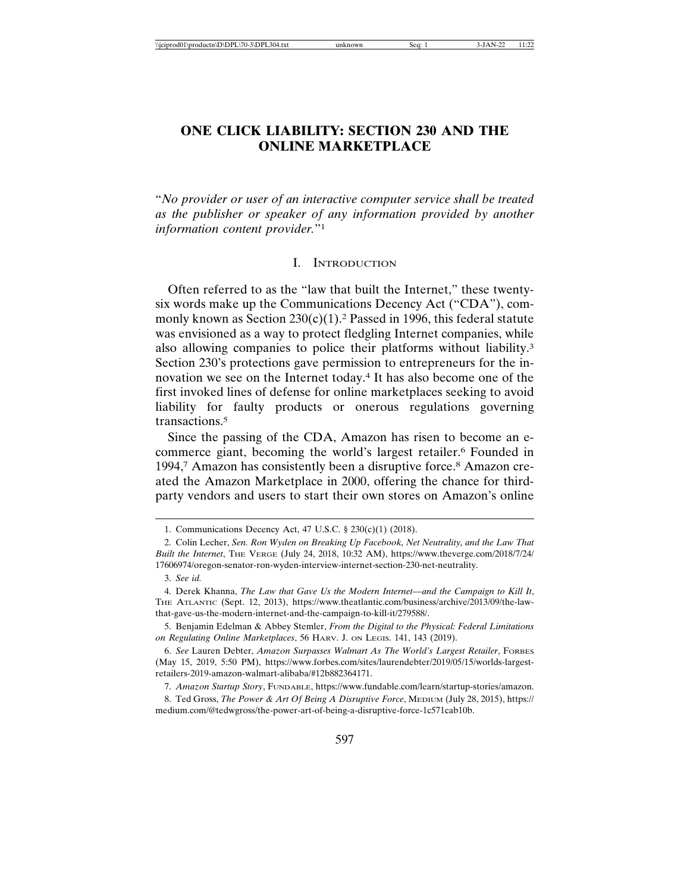## **ONE CLICK LIABILITY: SECTION 230 AND THE ONLINE MARKETPLACE**

"*No provider or user of an interactive computer service shall be treated as the publisher or speaker of any information provided by another information content provider.*"1

#### I. INTRODUCTION

Often referred to as the "law that built the Internet," these twentysix words make up the Communications Decency Act ("CDA"), commonly known as Section  $230(c)(1)$ .<sup>2</sup> Passed in 1996, this federal statute was envisioned as a way to protect fledgling Internet companies, while also allowing companies to police their platforms without liability.3 Section 230's protections gave permission to entrepreneurs for the innovation we see on the Internet today.4 It has also become one of the first invoked lines of defense for online marketplaces seeking to avoid liability for faulty products or onerous regulations governing transactions.5

Since the passing of the CDA, Amazon has risen to become an ecommerce giant, becoming the world's largest retailer.6 Founded in 1994,7 Amazon has consistently been a disruptive force.8 Amazon created the Amazon Marketplace in 2000, offering the chance for thirdparty vendors and users to start their own stores on Amazon's online

5. Benjamin Edelman & Abbey Stemler, *From the Digital to the Physical: Federal Limitations on Regulating Online Marketplaces*, 56 HARV. J. ON LEGIS. 141, 143 (2019).

<sup>1.</sup> Communications Decency Act, 47 U.S.C. § 230(c)(1) (2018).

<sup>2.</sup> Colin Lecher, *Sen. Ron Wyden on Breaking Up Facebook, Net Neutrality, and the Law That Built the Internet*, THE VERGE (July 24, 2018, 10:32 AM), https://www.theverge.com/2018/7/24/ 17606974/oregon-senator-ron-wyden-interview-internet-section-230-net-neutrality.

<sup>3.</sup> *See id.*

<sup>4.</sup> Derek Khanna, *The Law that Gave Us the Modern Internet—and the Campaign to Kill It*, THE ATLANTIC (Sept. 12, 2013), https://www.theatlantic.com/business/archive/2013/09/the-lawthat-gave-us-the-modern-internet-and-the-campaign-to-kill-it/279588/.

<sup>6.</sup> *See* Lauren Debter, *Amazon Surpasses Walmart As The World's Largest Retailer*, FORBES (May 15, 2019, 5:50 PM), https://www.forbes.com/sites/laurendebter/2019/05/15/worlds-largestretailers-2019-amazon-walmart-alibaba/#12b882364171.

<sup>7.</sup> *Amazon Startup Story*, FUNDABLE, https://www.fundable.com/learn/startup-stories/amazon.

<sup>8.</sup> Ted Gross, *The Power & Art Of Being A Disruptive Force*, MEDIUM (July 28, 2015), https:// medium.com/@tedwgross/the-power-art-of-being-a-disruptive-force-1c571cab10b.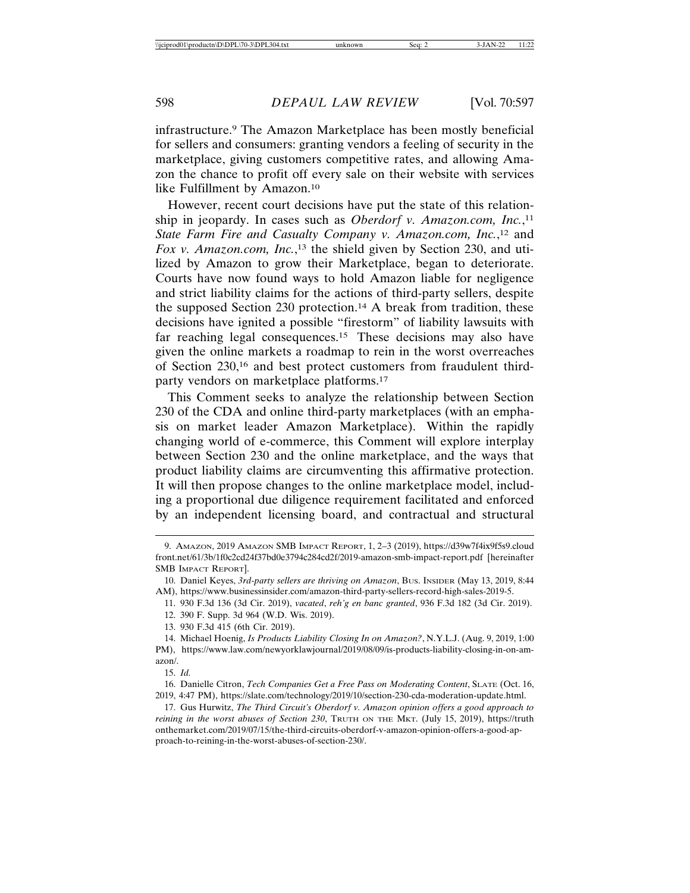infrastructure.9 The Amazon Marketplace has been mostly beneficial for sellers and consumers: granting vendors a feeling of security in the marketplace, giving customers competitive rates, and allowing Amazon the chance to profit off every sale on their website with services like Fulfillment by Amazon.10

However, recent court decisions have put the state of this relationship in jeopardy. In cases such as *Oberdorf v. Amazon.com, Inc.*,<sup>11</sup> State Farm Fire and Casualty Company v. Amazon.com, Inc.,<sup>12</sup> and *Fox v. Amazon.com, Inc.*, 13 the shield given by Section 230, and utilized by Amazon to grow their Marketplace, began to deteriorate. Courts have now found ways to hold Amazon liable for negligence and strict liability claims for the actions of third-party sellers, despite the supposed Section 230 protection.<sup>14</sup> A break from tradition, these decisions have ignited a possible "firestorm" of liability lawsuits with far reaching legal consequences.<sup>15</sup> These decisions may also have given the online markets a roadmap to rein in the worst overreaches of Section 230,16 and best protect customers from fraudulent thirdparty vendors on marketplace platforms.17

This Comment seeks to analyze the relationship between Section 230 of the CDA and online third-party marketplaces (with an emphasis on market leader Amazon Marketplace). Within the rapidly changing world of e-commerce, this Comment will explore interplay between Section 230 and the online marketplace, and the ways that product liability claims are circumventing this affirmative protection. It will then propose changes to the online marketplace model, including a proportional due diligence requirement facilitated and enforced by an independent licensing board, and contractual and structural

12. 390 F. Supp. 3d 964 (W.D. Wis. 2019).

<sup>9.</sup> AMAZON, 2019 AMAZON SMB IMPACT REPORT, 1, 2–3 (2019), https://d39w7f4ix9f5s9.cloud front.net/61/3b/1f0c2cd24f37bd0e3794c284cd2f/2019-amazon-smb-impact-report.pdf [hereinafter SMB IMPACT REPORT].

<sup>10.</sup> Daniel Keyes, *3rd-party sellers are thriving on Amazon*, BUS. INSIDER (May 13, 2019, 8:44 AM), https://www.businessinsider.com/amazon-third-party-sellers-record-high-sales-2019-5.

<sup>11. 930</sup> F.3d 136 (3d Cir. 2019), *vacated*, *reh'g en banc granted*, 936 F.3d 182 (3d Cir. 2019).

<sup>13. 930</sup> F.3d 415 (6th Cir. 2019).

<sup>14.</sup> Michael Hoenig, *Is Products Liability Closing In on Amazon?*, N.Y.L.J. (Aug. 9, 2019, 1:00 PM), https://www.law.com/newyorklawjournal/2019/08/09/is-products-liability-closing-in-on-amazon/.

<sup>15.</sup> *Id.*

<sup>16.</sup> Danielle Citron, *Tech Companies Get a Free Pass on Moderating Content*, SLATE (Oct. 16, 2019, 4:47 PM), https://slate.com/technology/2019/10/section-230-cda-moderation-update.html.

<sup>17.</sup> Gus Hurwitz, *The Third Circuit's Oberdorf v. Amazon opinion offers a good approach to reining in the worst abuses of Section 230*, TRUTH ON THE MKT. (July 15, 2019), https://truth onthemarket.com/2019/07/15/the-third-circuits-oberdorf-v-amazon-opinion-offers-a-good-approach-to-reining-in-the-worst-abuses-of-section-230/.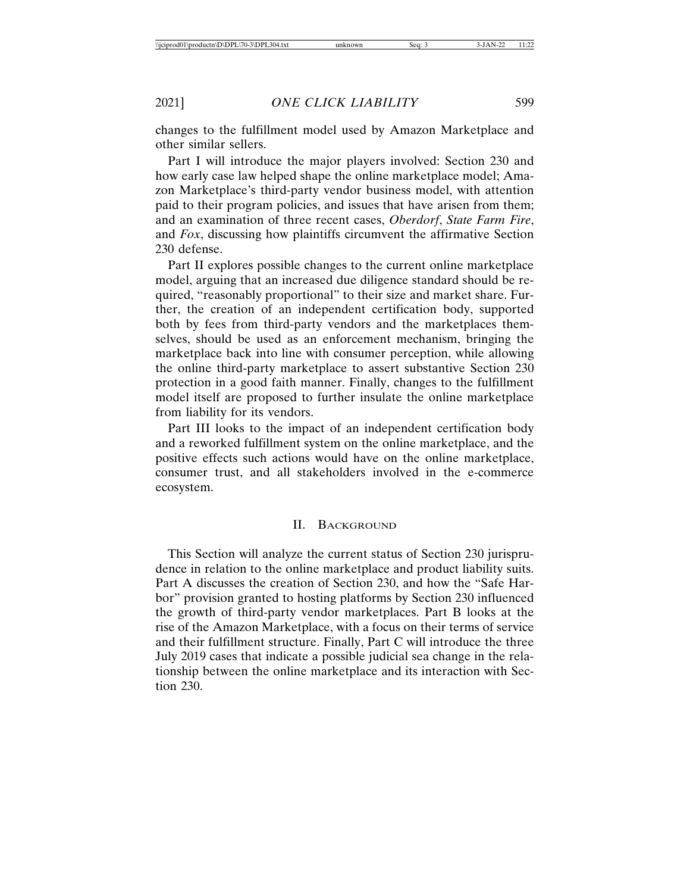changes to the fulfillment model used by Amazon Marketplace and other similar sellers.

Part I will introduce the major players involved: Section 230 and how early case law helped shape the online marketplace model; Amazon Marketplace's third-party vendor business model, with attention paid to their program policies, and issues that have arisen from them; and an examination of three recent cases, *Oberdorf*, *State Farm Fire*, and *Fox*, discussing how plaintiffs circumvent the affirmative Section 230 defense.

Part II explores possible changes to the current online marketplace model, arguing that an increased due diligence standard should be required, "reasonably proportional" to their size and market share. Further, the creation of an independent certification body, supported both by fees from third-party vendors and the marketplaces themselves, should be used as an enforcement mechanism, bringing the marketplace back into line with consumer perception, while allowing the online third-party marketplace to assert substantive Section 230 protection in a good faith manner. Finally, changes to the fulfillment model itself are proposed to further insulate the online marketplace from liability for its vendors.

Part III looks to the impact of an independent certification body and a reworked fulfillment system on the online marketplace, and the positive effects such actions would have on the online marketplace, consumer trust, and all stakeholders involved in the e-commerce ecosystem.

#### II. BACKGROUND

This Section will analyze the current status of Section 230 jurisprudence in relation to the online marketplace and product liability suits. Part A discusses the creation of Section 230, and how the "Safe Harbor" provision granted to hosting platforms by Section 230 influenced the growth of third-party vendor marketplaces. Part B looks at the rise of the Amazon Marketplace, with a focus on their terms of service and their fulfillment structure. Finally, Part C will introduce the three July 2019 cases that indicate a possible judicial sea change in the relationship between the online marketplace and its interaction with Section 230.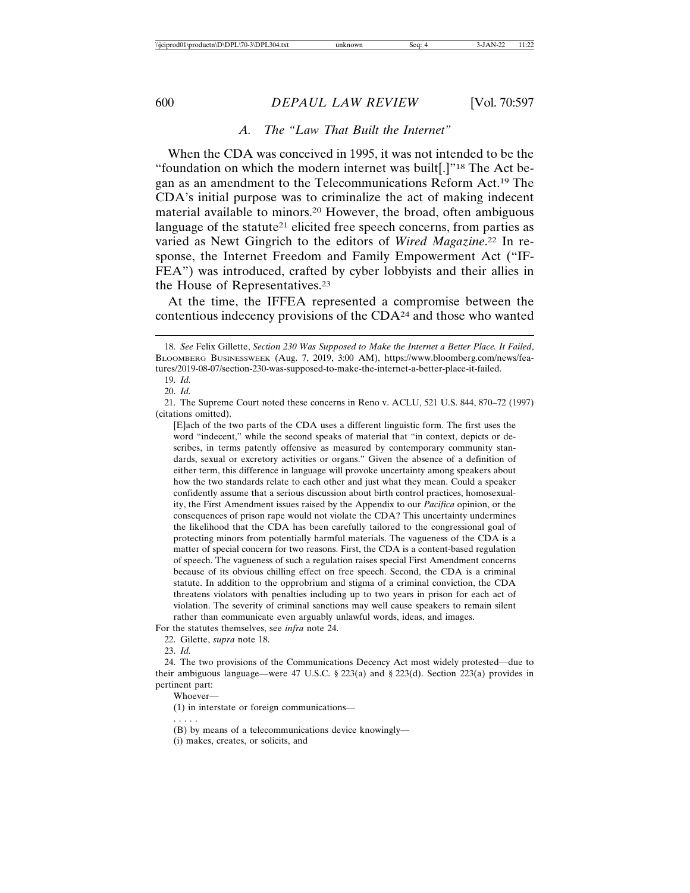#### *A. The "Law That Built the Internet"*

When the CDA was conceived in 1995, it was not intended to be the "foundation on which the modern internet was built[.]"18 The Act began as an amendment to the Telecommunications Reform Act.19 The CDA's initial purpose was to criminalize the act of making indecent material available to minors.20 However, the broad, often ambiguous language of the statute<sup>21</sup> elicited free speech concerns, from parties as varied as Newt Gingrich to the editors of *Wired Magazine*. 22 In response, the Internet Freedom and Family Empowerment Act ("IF-FEA") was introduced, crafted by cyber lobbyists and their allies in the House of Representatives.23

At the time, the IFFEA represented a compromise between the contentious indecency provisions of the CDA24 and those who wanted

19. *Id.*

20. *Id.*

21. The Supreme Court noted these concerns in Reno v. ACLU, 521 U.S. 844, 870–72 (1997) (citations omitted).

[E]ach of the two parts of the CDA uses a different linguistic form. The first uses the word "indecent," while the second speaks of material that "in context, depicts or describes, in terms patently offensive as measured by contemporary community standards, sexual or excretory activities or organs." Given the absence of a definition of either term, this difference in language will provoke uncertainty among speakers about how the two standards relate to each other and just what they mean. Could a speaker confidently assume that a serious discussion about birth control practices, homosexuality, the First Amendment issues raised by the Appendix to our *Pacifica* opinion, or the consequences of prison rape would not violate the CDA? This uncertainty undermines the likelihood that the CDA has been carefully tailored to the congressional goal of protecting minors from potentially harmful materials. The vagueness of the CDA is a matter of special concern for two reasons. First, the CDA is a content-based regulation of speech. The vagueness of such a regulation raises special First Amendment concerns because of its obvious chilling effect on free speech. Second, the CDA is a criminal statute. In addition to the opprobrium and stigma of a criminal conviction, the CDA threatens violators with penalties including up to two years in prison for each act of violation. The severity of criminal sanctions may well cause speakers to remain silent rather than communicate even arguably unlawful words, ideas, and images.

For the statutes themselves, see *infra* note 24.

22. Gilette, *supra* note 18.

23. *Id.*

24. The two provisions of the Communications Decency Act most widely protested—due to their ambiguous language—were 47 U.S.C. § 223(a) and § 223(d). Section 223(a) provides in pertinent part:

Whoever—

(1) in interstate or foreign communications—

. . . . .

(B) by means of a telecommunications device knowingly—

(i) makes, creates, or solicits, and

<sup>18.</sup> *See* Felix Gillette, *Section 230 Was Supposed to Make the Internet a Better Place. It Failed*, BLOOMBERG BUSINESSWEEK (Aug. 7, 2019, 3:00 AM), https://www.bloomberg.com/news/features/2019-08-07/section-230-was-supposed-to-make-the-internet-a-better-place-it-failed.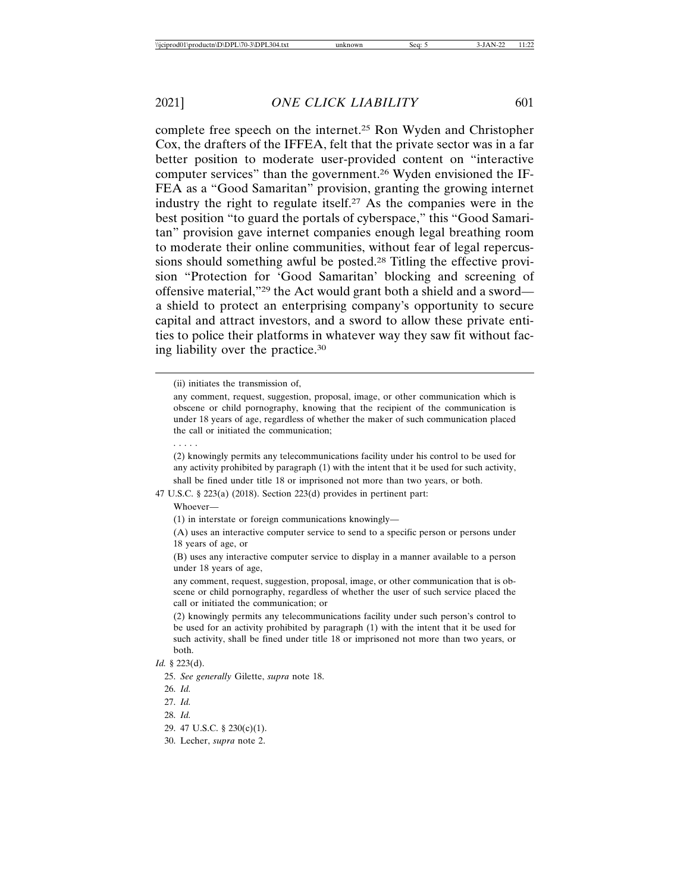complete free speech on the internet.25 Ron Wyden and Christopher Cox, the drafters of the IFFEA, felt that the private sector was in a far better position to moderate user-provided content on "interactive computer services" than the government.26 Wyden envisioned the IF-FEA as a "Good Samaritan" provision, granting the growing internet industry the right to regulate itself.27 As the companies were in the best position "to guard the portals of cyberspace," this "Good Samaritan" provision gave internet companies enough legal breathing room to moderate their online communities, without fear of legal repercussions should something awful be posted.28 Titling the effective provision "Protection for 'Good Samaritan' blocking and screening of offensive material,"29 the Act would grant both a shield and a sword a shield to protect an enterprising company's opportunity to secure capital and attract investors, and a sword to allow these private entities to police their platforms in whatever way they saw fit without facing liability over the practice.30

. . . . .

Whoever—

(1) in interstate or foreign communications knowingly—

(A) uses an interactive computer service to send to a specific person or persons under 18 years of age, or

*Id.* § 223(d).

30. Lecher, *supra* note 2.

<sup>(</sup>ii) initiates the transmission of,

any comment, request, suggestion, proposal, image, or other communication which is obscene or child pornography, knowing that the recipient of the communication is under 18 years of age, regardless of whether the maker of such communication placed the call or initiated the communication;

<sup>(2)</sup> knowingly permits any telecommunications facility under his control to be used for any activity prohibited by paragraph (1) with the intent that it be used for such activity, shall be fined under title 18 or imprisoned not more than two years, or both.

<sup>47</sup> U.S.C. § 223(a) (2018). Section 223(d) provides in pertinent part:

<sup>(</sup>B) uses any interactive computer service to display in a manner available to a person under 18 years of age,

any comment, request, suggestion, proposal, image, or other communication that is obscene or child pornography, regardless of whether the user of such service placed the call or initiated the communication; or

<sup>(2)</sup> knowingly permits any telecommunications facility under such person's control to be used for an activity prohibited by paragraph (1) with the intent that it be used for such activity, shall be fined under title 18 or imprisoned not more than two years, or both.

<sup>25.</sup> *See generally* Gilette, *supra* note 18.

<sup>26.</sup> *Id.*

<sup>27.</sup> *Id.*

<sup>28.</sup> *Id.*

<sup>29. 47</sup> U.S.C. § 230(c)(1).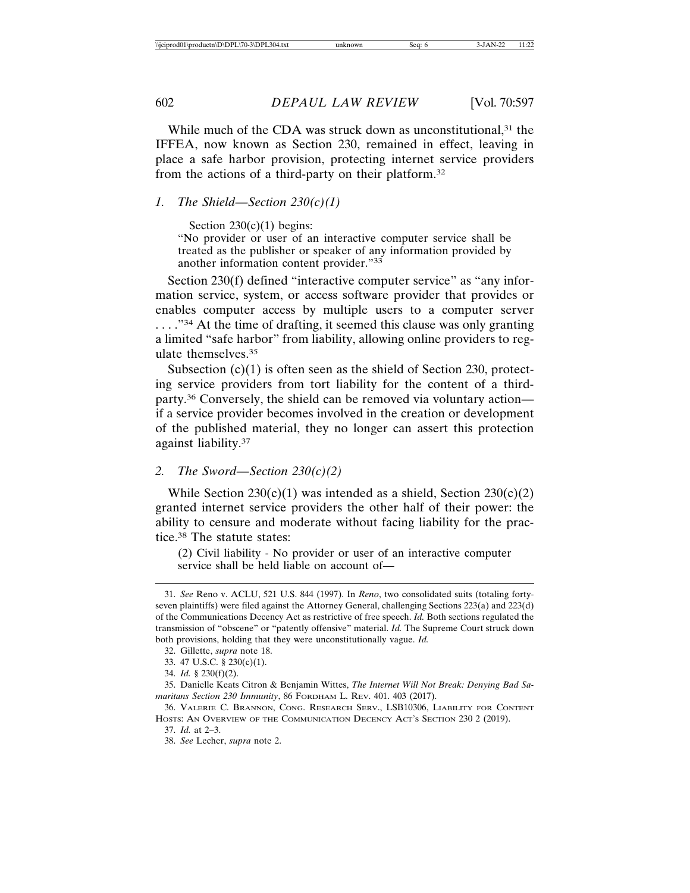While much of the CDA was struck down as unconstitutional,<sup>31</sup> the IFFEA, now known as Section 230, remained in effect, leaving in place a safe harbor provision, protecting internet service providers from the actions of a third-party on their platform.32

#### *1. The Shield—Section 230(c)(1)*

Section  $230(c)(1)$  begins:

"No provider or user of an interactive computer service shall be treated as the publisher or speaker of any information provided by another information content provider."33

Section 230(f) defined "interactive computer service" as "any information service, system, or access software provider that provides or enables computer access by multiple users to a computer server ...."<sup>34</sup> At the time of drafting, it seemed this clause was only granting a limited "safe harbor" from liability, allowing online providers to regulate themselves.35

Subsection (c)(1) is often seen as the shield of Section 230, protecting service providers from tort liability for the content of a thirdparty.36 Conversely, the shield can be removed via voluntary action if a service provider becomes involved in the creation or development of the published material, they no longer can assert this protection against liability.37

#### *2. The Sword—Section 230(c)(2)*

While Section  $230(c)(1)$  was intended as a shield, Section  $230(c)(2)$ granted internet service providers the other half of their power: the ability to censure and moderate without facing liability for the practice.38 The statute states:

(2) Civil liability - No provider or user of an interactive computer service shall be held liable on account of—

<sup>31.</sup> *See* Reno v. ACLU, 521 U.S. 844 (1997). In *Reno*, two consolidated suits (totaling fortyseven plaintiffs) were filed against the Attorney General, challenging Sections 223(a) and 223(d) of the Communications Decency Act as restrictive of free speech. *Id.* Both sections regulated the transmission of "obscene" or "patently offensive" material. *Id.* The Supreme Court struck down both provisions, holding that they were unconstitutionally vague. *Id.*

<sup>32.</sup> Gillette, *supra* note 18.

<sup>33. 47</sup> U.S.C. § 230(c)(1).

<sup>34.</sup> *Id.* § 230(f)(2).

<sup>35.</sup> Danielle Keats Citron & Benjamin Wittes, *The Internet Will Not Break: Denying Bad Samaritans Section 230 Immunity*, 86 FORDHAM L. REV. 401. 403 (2017).

<sup>36.</sup> VALERIE C. BRANNON, CONG. RESEARCH SERV., LSB10306, LIABILITY FOR CONTENT HOSTS: AN OVERVIEW OF THE COMMUNICATION DECENCY ACT'S SECTION 230 2 (2019).

<sup>37.</sup> *Id.* at 2–3.

<sup>38.</sup> *See* Lecher, *supra* note 2.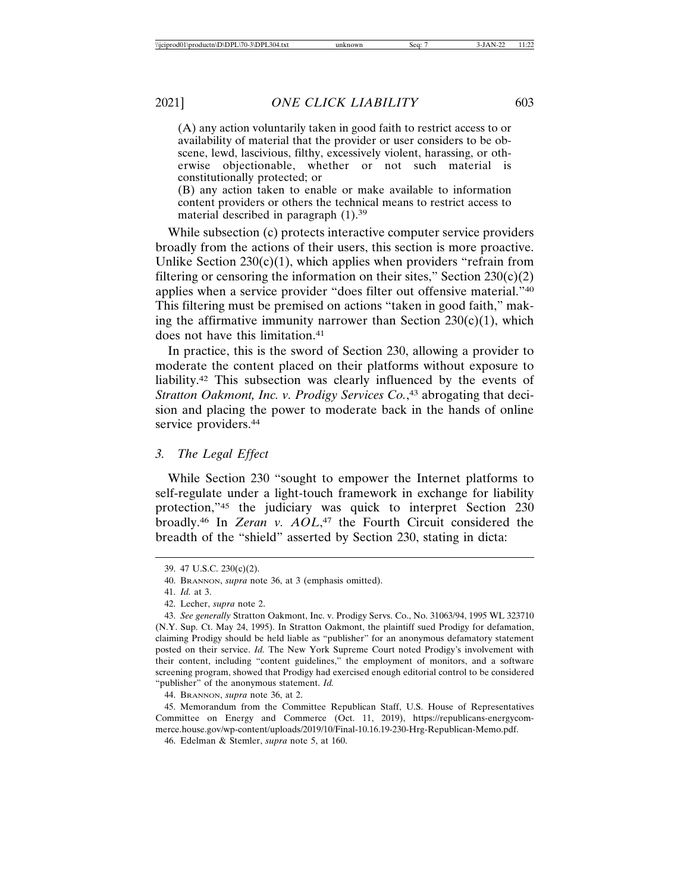(A) any action voluntarily taken in good faith to restrict access to or availability of material that the provider or user considers to be obscene, lewd, lascivious, filthy, excessively violent, harassing, or otherwise objectionable, whether or not such material is constitutionally protected; or

(B) any action taken to enable or make available to information content providers or others the technical means to restrict access to material described in paragraph  $(1).<sup>39</sup>$ 

While subsection (c) protects interactive computer service providers broadly from the actions of their users, this section is more proactive. Unlike Section  $230(c)(1)$ , which applies when providers "refrain from filtering or censoring the information on their sites," Section  $230(c)(2)$ applies when a service provider "does filter out offensive material."40 This filtering must be premised on actions "taken in good faith," making the affirmative immunity narrower than Section  $230(c)(1)$ , which does not have this limitation.<sup>41</sup>

In practice, this is the sword of Section 230, allowing a provider to moderate the content placed on their platforms without exposure to liability.42 This subsection was clearly influenced by the events of *Stratton Oakmont, Inc. v. Prodigy Services Co.*, 43 abrogating that decision and placing the power to moderate back in the hands of online service providers.<sup>44</sup>

#### *3. The Legal Effect*

While Section 230 "sought to empower the Internet platforms to self-regulate under a light-touch framework in exchange for liability protection,"45 the judiciary was quick to interpret Section 230 broadly.46 In *Zeran v. AOL*, 47 the Fourth Circuit considered the breadth of the "shield" asserted by Section 230, stating in dicta:

44. BRANNON, *supra* note 36, at 2.

45. Memorandum from the Committee Republican Staff, U.S. House of Representatives Committee on Energy and Commerce (Oct. 11, 2019), https://republicans-energycommerce.house.gov/wp-content/uploads/2019/10/Final-10.16.19-230-Hrg-Republican-Memo.pdf.

46. Edelman & Stemler, *supra* note 5, at 160.

<sup>39. 47</sup> U.S.C. 230(c)(2).

<sup>40.</sup> BRANNON, *supra* note 36, at 3 (emphasis omitted).

<sup>41.</sup> *Id.* at 3.

<sup>42.</sup> Lecher, *supra* note 2.

<sup>43.</sup> *See generally* Stratton Oakmont, Inc. v. Prodigy Servs. Co., No. 31063/94, 1995 WL 323710 (N.Y. Sup. Ct. May 24, 1995). In Stratton Oakmont, the plaintiff sued Prodigy for defamation, claiming Prodigy should be held liable as "publisher" for an anonymous defamatory statement posted on their service. *Id.* The New York Supreme Court noted Prodigy's involvement with their content, including "content guidelines," the employment of monitors, and a software screening program, showed that Prodigy had exercised enough editorial control to be considered "publisher" of the anonymous statement. *Id.*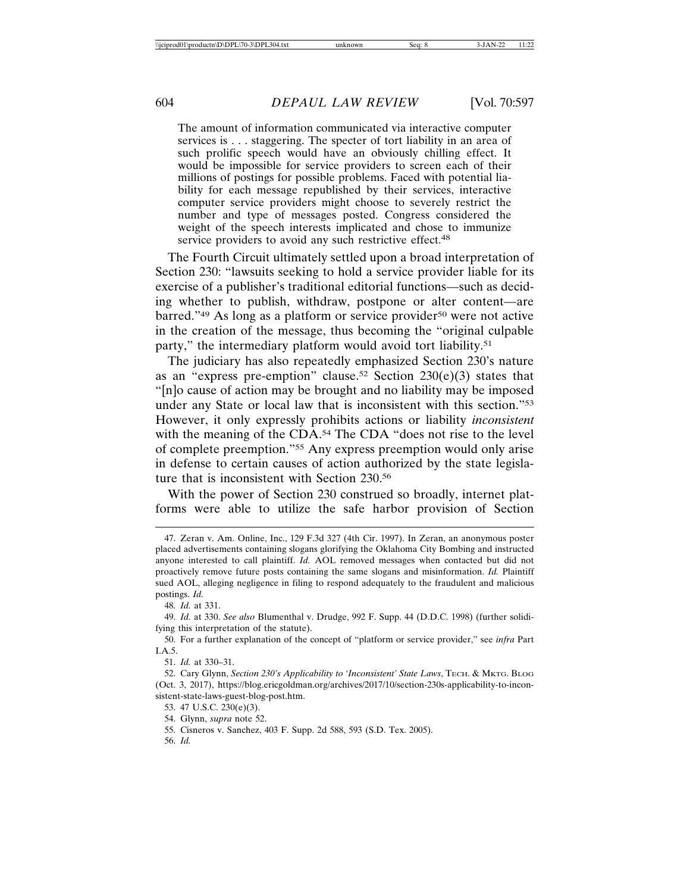The amount of information communicated via interactive computer services is . . . staggering. The specter of tort liability in an area of such prolific speech would have an obviously chilling effect. It would be impossible for service providers to screen each of their millions of postings for possible problems. Faced with potential liability for each message republished by their services, interactive computer service providers might choose to severely restrict the number and type of messages posted. Congress considered the weight of the speech interests implicated and chose to immunize service providers to avoid any such restrictive effect.<sup>48</sup>

The Fourth Circuit ultimately settled upon a broad interpretation of Section 230: "lawsuits seeking to hold a service provider liable for its exercise of a publisher's traditional editorial functions—such as deciding whether to publish, withdraw, postpone or alter content—are barred."<sup>49</sup> As long as a platform or service provider<sup>50</sup> were not active in the creation of the message, thus becoming the "original culpable party," the intermediary platform would avoid tort liability.<sup>51</sup>

The judiciary has also repeatedly emphasized Section 230's nature as an "express pre-emption" clause.<sup>52</sup> Section  $230(e)(3)$  states that "[n]o cause of action may be brought and no liability may be imposed under any State or local law that is inconsistent with this section."53 However, it only expressly prohibits actions or liability *inconsistent* with the meaning of the CDA.<sup>54</sup> The CDA "does not rise to the level of complete preemption."55 Any express preemption would only arise in defense to certain causes of action authorized by the state legislature that is inconsistent with Section 230.56

With the power of Section 230 construed so broadly, internet platforms were able to utilize the safe harbor provision of Section

48. *Id.* at 331.

49. *Id.* at 330. *See also* Blumenthal v. Drudge, 992 F. Supp. 44 (D.D.C. 1998) (further solidifying this interpretation of the statute).

54. Glynn, *supra* note 52.

<sup>47.</sup> Zeran v. Am. Online, Inc., 129 F.3d 327 (4th Cir. 1997). In Zeran, an anonymous poster placed advertisements containing slogans glorifying the Oklahoma City Bombing and instructed anyone interested to call plaintiff. *Id.* AOL removed messages when contacted but did not proactively remove future posts containing the same slogans and misinformation. *Id.* Plaintiff sued AOL, alleging negligence in filing to respond adequately to the fraudulent and malicious postings. *Id.*

<sup>50.</sup> For a further explanation of the concept of "platform or service provider," see *infra* Part I.A.5.

<sup>51.</sup> *Id.* at 330–31.

<sup>52.</sup> Cary Glynn, *Section 230's Applicability to 'Inconsistent' State Laws*, TECH. & MKTG. BLOG (Oct. 3, 2017), https://blog.ericgoldman.org/archives/2017/10/section-230s-applicability-to-inconsistent-state-laws-guest-blog-post.htm.

<sup>53. 47</sup> U.S.C. 230(e)(3).

<sup>55.</sup> Cisneros v. Sanchez, 403 F. Supp. 2d 588, 593 (S.D. Tex. 2005).

<sup>56.</sup> *Id.*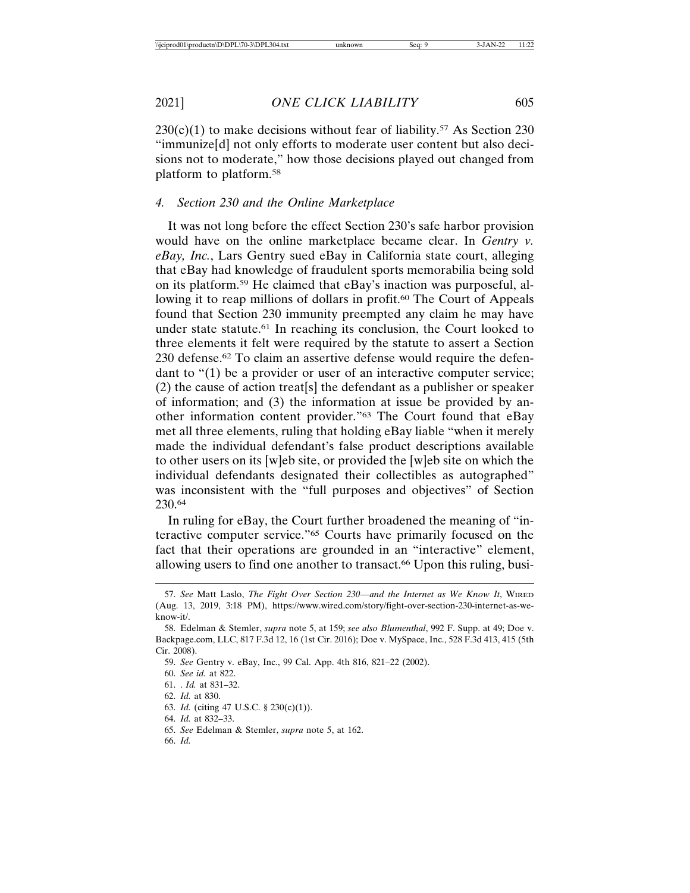$230(c)(1)$  to make decisions without fear of liability.<sup>57</sup> As Section 230 "immunize[d] not only efforts to moderate user content but also decisions not to moderate," how those decisions played out changed from platform to platform.58

## *4. Section 230 and the Online Marketplace*

It was not long before the effect Section 230's safe harbor provision would have on the online marketplace became clear. In *Gentry v. eBay, Inc.*, Lars Gentry sued eBay in California state court, alleging that eBay had knowledge of fraudulent sports memorabilia being sold on its platform.59 He claimed that eBay's inaction was purposeful, allowing it to reap millions of dollars in profit.<sup>60</sup> The Court of Appeals found that Section 230 immunity preempted any claim he may have under state statute.61 In reaching its conclusion, the Court looked to three elements it felt were required by the statute to assert a Section 230 defense.62 To claim an assertive defense would require the defendant to "(1) be a provider or user of an interactive computer service; (2) the cause of action treat[s] the defendant as a publisher or speaker of information; and (3) the information at issue be provided by another information content provider."63 The Court found that eBay met all three elements, ruling that holding eBay liable "when it merely made the individual defendant's false product descriptions available to other users on its [w]eb site, or provided the [w]eb site on which the individual defendants designated their collectibles as autographed" was inconsistent with the "full purposes and objectives" of Section 230.64

In ruling for eBay, the Court further broadened the meaning of "interactive computer service."65 Courts have primarily focused on the fact that their operations are grounded in an "interactive" element, allowing users to find one another to transact.<sup>66</sup> Upon this ruling, busi-

63. *Id.* (citing 47 U.S.C. § 230(c)(1)).

66. *Id.*

<sup>57.</sup> *See* Matt Laslo, *The Fight Over Section 230—and the Internet as We Know It*, WIRED (Aug. 13, 2019, 3:18 PM), https://www.wired.com/story/fight-over-section-230-internet-as-weknow-it/.

<sup>58.</sup> Edelman & Stemler, *supra* note 5, at 159; *see also Blumenthal*, 992 F. Supp. at 49; Doe v. Backpage.com, LLC, 817 F.3d 12, 16 (1st Cir. 2016); Doe v. MySpace, Inc., 528 F.3d 413, 415 (5th Cir. 2008).

<sup>59.</sup> *See* Gentry v. eBay, Inc., 99 Cal. App. 4th 816, 821–22 (2002).

<sup>60.</sup> *See id.* at 822.

<sup>61. .</sup> *Id.* at 831–32.

<sup>62.</sup> *Id.* at 830.

<sup>64.</sup> *Id.* at 832–33.

<sup>65.</sup> *See* Edelman & Stemler, *supra* note 5, at 162.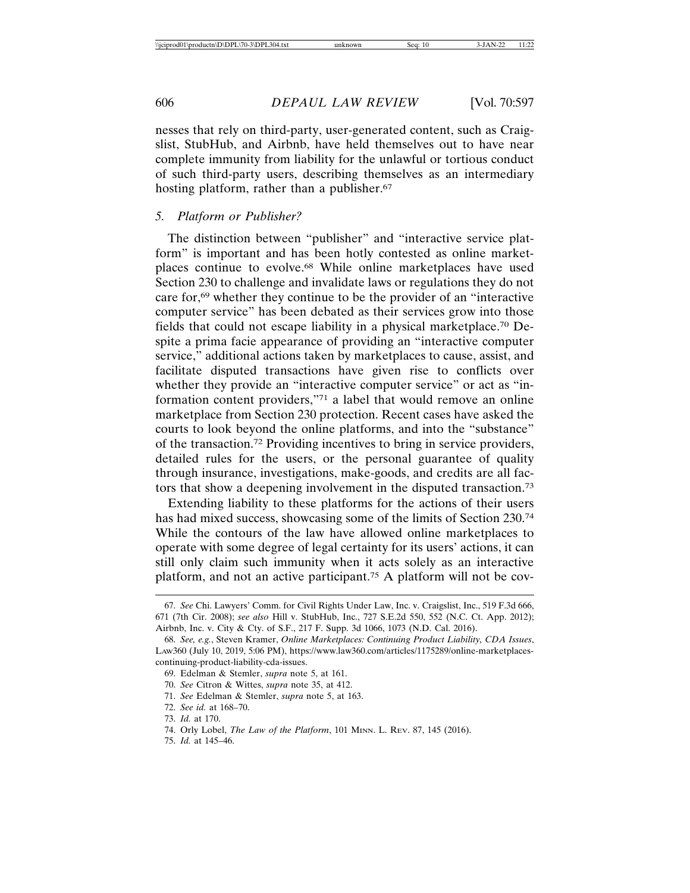nesses that rely on third-party, user-generated content, such as Craigslist, StubHub, and Airbnb, have held themselves out to have near complete immunity from liability for the unlawful or tortious conduct of such third-party users, describing themselves as an intermediary hosting platform, rather than a publisher.<sup>67</sup>

#### *5. Platform or Publisher?*

The distinction between "publisher" and "interactive service platform" is important and has been hotly contested as online marketplaces continue to evolve.68 While online marketplaces have used Section 230 to challenge and invalidate laws or regulations they do not care for,69 whether they continue to be the provider of an "interactive computer service" has been debated as their services grow into those fields that could not escape liability in a physical marketplace.70 Despite a prima facie appearance of providing an "interactive computer service," additional actions taken by marketplaces to cause, assist, and facilitate disputed transactions have given rise to conflicts over whether they provide an "interactive computer service" or act as "information content providers,"71 a label that would remove an online marketplace from Section 230 protection. Recent cases have asked the courts to look beyond the online platforms, and into the "substance" of the transaction.72 Providing incentives to bring in service providers, detailed rules for the users, or the personal guarantee of quality through insurance, investigations, make-goods, and credits are all factors that show a deepening involvement in the disputed transaction.73

Extending liability to these platforms for the actions of their users has had mixed success, showcasing some of the limits of Section 230.<sup>74</sup> While the contours of the law have allowed online marketplaces to operate with some degree of legal certainty for its users' actions, it can still only claim such immunity when it acts solely as an interactive platform, and not an active participant.75 A platform will not be cov-

72. *See id.* at 168–70.

<sup>67.</sup> *See* Chi. Lawyers' Comm. for Civil Rights Under Law, Inc. v. Craigslist, Inc., 519 F.3d 666, 671 (7th Cir. 2008); *see also* Hill v. StubHub, Inc., 727 S.E.2d 550, 552 (N.C. Ct. App. 2012); Airbnb, Inc. v. City & Cty. of S.F., 217 F. Supp. 3d 1066, 1073 (N.D. Cal. 2016).

<sup>68.</sup> *See, e.g.*, Steven Kramer, *Online Marketplaces: Continuing Product Liability, CDA Issues*, LAW360 (July 10, 2019, 5:06 PM), https://www.law360.com/articles/1175289/online-marketplacescontinuing-product-liability-cda-issues.

<sup>69.</sup> Edelman & Stemler, *supra* note 5, at 161.

<sup>70.</sup> *See* Citron & Wittes, *supra* note 35, at 412.

<sup>71.</sup> *See* Edelman & Stemler, *supra* note 5, at 163.

<sup>73.</sup> *Id.* at 170.

<sup>74.</sup> Orly Lobel, *The Law of the Platform*, 101 MINN. L. REV. 87, 145 (2016).

<sup>75.</sup> *Id.* at 145–46.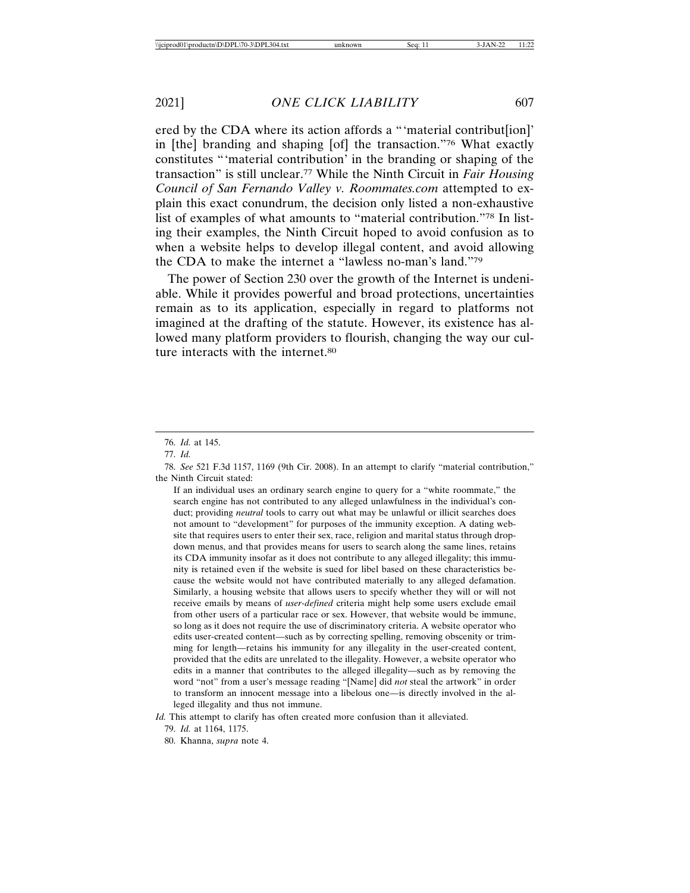ered by the CDA where its action affords a "'material contribut[ion]' in [the] branding and shaping [of] the transaction."76 What exactly constitutes "'material contribution' in the branding or shaping of the transaction" is still unclear.77 While the Ninth Circuit in *Fair Housing Council of San Fernando Valley v. Roommates.com* attempted to explain this exact conundrum, the decision only listed a non-exhaustive list of examples of what amounts to "material contribution."78 In listing their examples, the Ninth Circuit hoped to avoid confusion as to when a website helps to develop illegal content, and avoid allowing the CDA to make the internet a "lawless no-man's land."79

The power of Section 230 over the growth of the Internet is undeniable. While it provides powerful and broad protections, uncertainties remain as to its application, especially in regard to platforms not imagined at the drafting of the statute. However, its existence has allowed many platform providers to flourish, changing the way our culture interacts with the internet.80

78. *See* 521 F.3d 1157, 1169 (9th Cir. 2008). In an attempt to clarify "material contribution," the Ninth Circuit stated:

If an individual uses an ordinary search engine to query for a "white roommate," the search engine has not contributed to any alleged unlawfulness in the individual's conduct; providing *neutral* tools to carry out what may be unlawful or illicit searches does not amount to "development" for purposes of the immunity exception. A dating website that requires users to enter their sex, race, religion and marital status through dropdown menus, and that provides means for users to search along the same lines, retains its CDA immunity insofar as it does not contribute to any alleged illegality; this immunity is retained even if the website is sued for libel based on these characteristics because the website would not have contributed materially to any alleged defamation. Similarly, a housing website that allows users to specify whether they will or will not receive emails by means of *user-defined* criteria might help some users exclude email from other users of a particular race or sex. However, that website would be immune, so long as it does not require the use of discriminatory criteria. A website operator who edits user-created content—such as by correcting spelling, removing obscenity or trimming for length—retains his immunity for any illegality in the user-created content, provided that the edits are unrelated to the illegality. However, a website operator who edits in a manner that contributes to the alleged illegality—such as by removing the word "not" from a user's message reading "[Name] did *not* steal the artwork" in order to transform an innocent message into a libelous one—is directly involved in the alleged illegality and thus not immune.

*Id.* This attempt to clarify has often created more confusion than it alleviated.

79. *Id.* at 1164, 1175.

80. Khanna, *supra* note 4.

<sup>76.</sup> *Id.* at 145.

<sup>77.</sup> *Id.*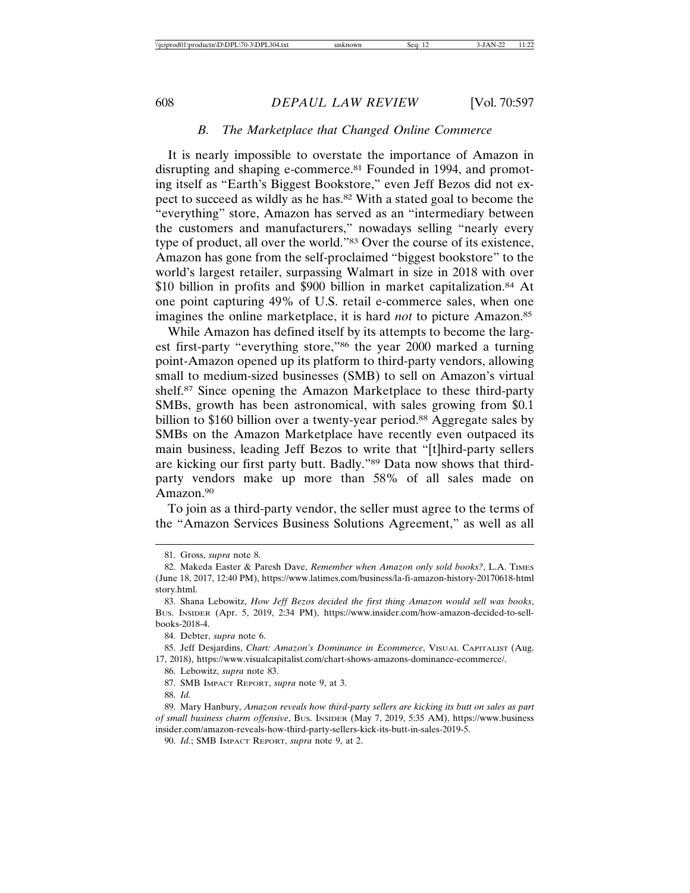#### *B. The Marketplace that Changed Online Commerce*

It is nearly impossible to overstate the importance of Amazon in disrupting and shaping e-commerce.<sup>81</sup> Founded in 1994, and promoting itself as "Earth's Biggest Bookstore," even Jeff Bezos did not expect to succeed as wildly as he has.82 With a stated goal to become the "everything" store, Amazon has served as an "intermediary between the customers and manufacturers," nowadays selling "nearly every type of product, all over the world."83 Over the course of its existence, Amazon has gone from the self-proclaimed "biggest bookstore" to the world's largest retailer, surpassing Walmart in size in 2018 with over \$10 billion in profits and \$900 billion in market capitalization.<sup>84</sup> At one point capturing 49% of U.S. retail e-commerce sales, when one imagines the online marketplace, it is hard *not* to picture Amazon.85

While Amazon has defined itself by its attempts to become the largest first-party "everything store,"86 the year 2000 marked a turning point-Amazon opened up its platform to third-party vendors, allowing small to medium-sized businesses (SMB) to sell on Amazon's virtual shelf.87 Since opening the Amazon Marketplace to these third-party SMBs, growth has been astronomical, with sales growing from \$0.1 billion to \$160 billion over a twenty-year period.<sup>88</sup> Aggregate sales by SMBs on the Amazon Marketplace have recently even outpaced its main business, leading Jeff Bezos to write that "[t]hird-party sellers are kicking our first party butt. Badly."89 Data now shows that thirdparty vendors make up more than 58% of all sales made on Amazon.<sup>90</sup>

To join as a third-party vendor, the seller must agree to the terms of the "Amazon Services Business Solutions Agreement," as well as all

<sup>81.</sup> Gross, *supra* note 8.

<sup>82.</sup> Makeda Easter & Paresh Dave, *Remember when Amazon only sold books?*, L.A. TIMES (June 18, 2017, 12:40 PM), https://www.latimes.com/business/la-fi-amazon-history-20170618-html story.html.

<sup>83.</sup> Shana Lebowitz, *How Jeff Bezos decided the first thing Amazon would sell was books*, BUS. INSIDER (Apr. 5, 2019, 2:34 PM), https://www.insider.com/how-amazon-decided-to-sellbooks-2018-4.

<sup>84.</sup> Debter, *supra* note 6.

<sup>85.</sup> Jeff Desjardins, *Chart: Amazon's Dominance in Ecommerce*, VISUAL CAPITALIST (Aug. 17, 2018), https://www.visualcapitalist.com/chart-shows-amazons-dominance-ecommerce/.

<sup>86.</sup> Lebowitz, *supra* note 83.

<sup>87.</sup> SMB IMPACT REPORT, *supra* note 9, at 3.

<sup>88.</sup> *Id.*

<sup>89.</sup> Mary Hanbury, *Amazon reveals how third-party sellers are kicking its butt on sales as part of small business charm offensive*, BUS. INSIDER (May 7, 2019, 5:35 AM), https://www.business insider.com/amazon-reveals-how-third-party-sellers-kick-its-butt-in-sales-2019-5.

<sup>90.</sup> *Id.*; SMB IMPACT REPORT, *supra* note 9, at 2.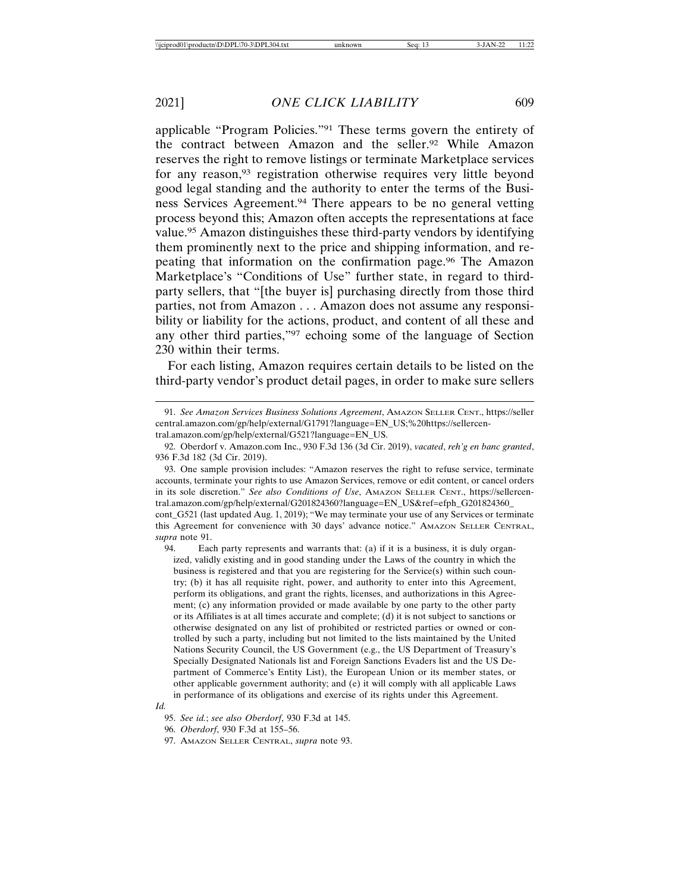applicable "Program Policies."91 These terms govern the entirety of the contract between Amazon and the seller.92 While Amazon reserves the right to remove listings or terminate Marketplace services for any reason,93 registration otherwise requires very little beyond good legal standing and the authority to enter the terms of the Business Services Agreement.94 There appears to be no general vetting process beyond this; Amazon often accepts the representations at face value.95 Amazon distinguishes these third-party vendors by identifying them prominently next to the price and shipping information, and repeating that information on the confirmation page.96 The Amazon Marketplace's "Conditions of Use" further state, in regard to thirdparty sellers, that "[the buyer is] purchasing directly from those third parties, not from Amazon . . . Amazon does not assume any responsibility or liability for the actions, product, and content of all these and any other third parties,"97 echoing some of the language of Section 230 within their terms.

For each listing, Amazon requires certain details to be listed on the third-party vendor's product detail pages, in order to make sure sellers

93. One sample provision includes: "Amazon reserves the right to refuse service, terminate accounts, terminate your rights to use Amazon Services, remove or edit content, or cancel orders in its sole discretion." *See also Conditions of Use*, AMAZON SELLER CENT., https://sellercentral.amazon.com/gp/help/external/G201824360?language=EN\_US&ref=efph\_G201824360\_ cont\_G521 (last updated Aug. 1, 2019); "We may terminate your use of any Services or terminate this Agreement for convenience with 30 days' advance notice." AMAZON SELLER CENTRAL, *supra* note 91.

94. Each party represents and warrants that: (a) if it is a business, it is duly organized, validly existing and in good standing under the Laws of the country in which the business is registered and that you are registering for the Service(s) within such country; (b) it has all requisite right, power, and authority to enter into this Agreement, perform its obligations, and grant the rights, licenses, and authorizations in this Agreement; (c) any information provided or made available by one party to the other party or its Affiliates is at all times accurate and complete; (d) it is not subject to sanctions or otherwise designated on any list of prohibited or restricted parties or owned or controlled by such a party, including but not limited to the lists maintained by the United Nations Security Council, the US Government (e.g., the US Department of Treasury's Specially Designated Nationals list and Foreign Sanctions Evaders list and the US Department of Commerce's Entity List), the European Union or its member states, or other applicable government authority; and (e) it will comply with all applicable Laws in performance of its obligations and exercise of its rights under this Agreement.

*Id.*

<sup>91.</sup> *See Amazon Services Business Solutions Agreement*, AMAZON SELLER CENT., https://seller central.amazon.com/gp/help/external/G1791?language=EN\_US;%20https://sellercentral.amazon.com/gp/help/external/G521?language=EN\_US.

<sup>92.</sup> Oberdorf v. Amazon.com Inc., 930 F.3d 136 (3d Cir. 2019), *vacated*, *reh'g en banc granted*, 936 F.3d 182 (3d Cir. 2019).

<sup>95.</sup> *See id.*; *see also Oberdorf*, 930 F.3d at 145.

<sup>96.</sup> *Oberdorf*, 930 F.3d at 155–56.

<sup>97.</sup> AMAZON SELLER CENTRAL, *supra* note 93.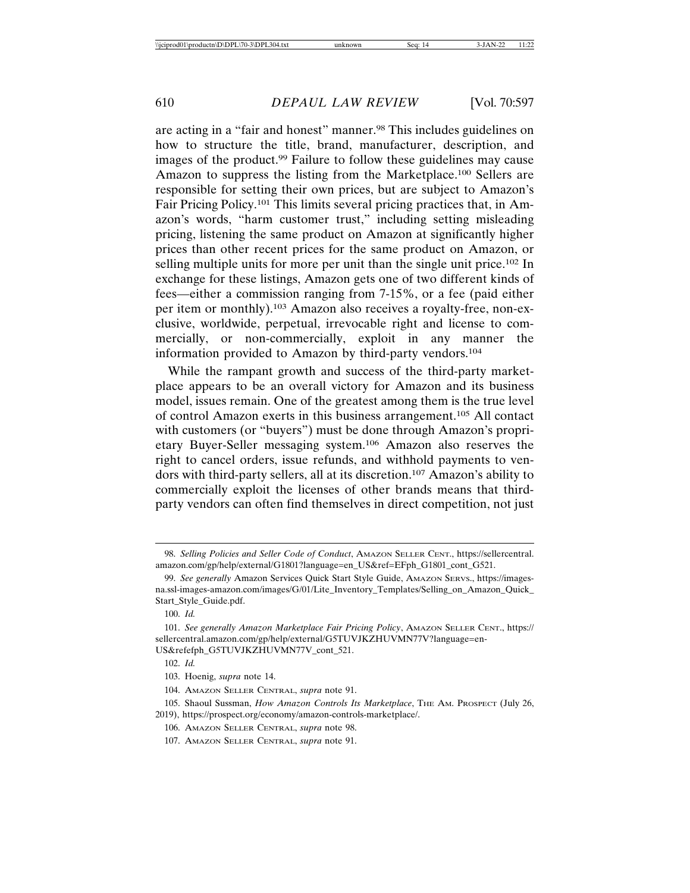are acting in a "fair and honest" manner.98 This includes guidelines on how to structure the title, brand, manufacturer, description, and images of the product.99 Failure to follow these guidelines may cause Amazon to suppress the listing from the Marketplace.100 Sellers are responsible for setting their own prices, but are subject to Amazon's Fair Pricing Policy.101 This limits several pricing practices that, in Amazon's words, "harm customer trust," including setting misleading pricing, listening the same product on Amazon at significantly higher prices than other recent prices for the same product on Amazon, or selling multiple units for more per unit than the single unit price.<sup>102</sup> In exchange for these listings, Amazon gets one of two different kinds of fees—either a commission ranging from 7-15%, or a fee (paid either per item or monthly).103 Amazon also receives a royalty-free, non-exclusive, worldwide, perpetual, irrevocable right and license to commercially, or non-commercially, exploit in any manner the information provided to Amazon by third-party vendors.104

While the rampant growth and success of the third-party marketplace appears to be an overall victory for Amazon and its business model, issues remain. One of the greatest among them is the true level of control Amazon exerts in this business arrangement.105 All contact with customers (or "buyers") must be done through Amazon's proprietary Buyer-Seller messaging system.106 Amazon also reserves the right to cancel orders, issue refunds, and withhold payments to vendors with third-party sellers, all at its discretion.107 Amazon's ability to commercially exploit the licenses of other brands means that thirdparty vendors can often find themselves in direct competition, not just

<sup>98.</sup> *Selling Policies and Seller Code of Conduct*, AMAZON SELLER CENT., https://sellercentral. amazon.com/gp/help/external/G1801?language=en\_US&ref=EFph\_G1801\_cont\_G521.

<sup>99.</sup> *See generally* Amazon Services Quick Start Style Guide, AMAZON SERVS., https://imagesna.ssl-images-amazon.com/images/G/01/Lite\_Inventory\_Templates/Selling\_on\_Amazon\_Quick\_ Start\_Style\_Guide.pdf.

<sup>100.</sup> *Id.*

<sup>101.</sup> *See generally Amazon Marketplace Fair Pricing Policy*, AMAZON SELLER CENT., https:// sellercentral.amazon.com/gp/help/external/G5TUVJKZHUVMN77V?language=en-US&refefph\_G5TUVJKZHUVMN77V\_cont\_521.

<sup>102.</sup> *Id.*

<sup>103.</sup> Hoenig, *supra* note 14.

<sup>104.</sup> AMAZON SELLER CENTRAL, *supra* note 91.

<sup>105.</sup> Shaoul Sussman, *How Amazon Controls Its Marketplace*, THE AM. PROSPECT (July 26, 2019), https://prospect.org/economy/amazon-controls-marketplace/.

<sup>106.</sup> AMAZON SELLER CENTRAL, *supra* note 98.

<sup>107.</sup> AMAZON SELLER CENTRAL, *supra* note 91.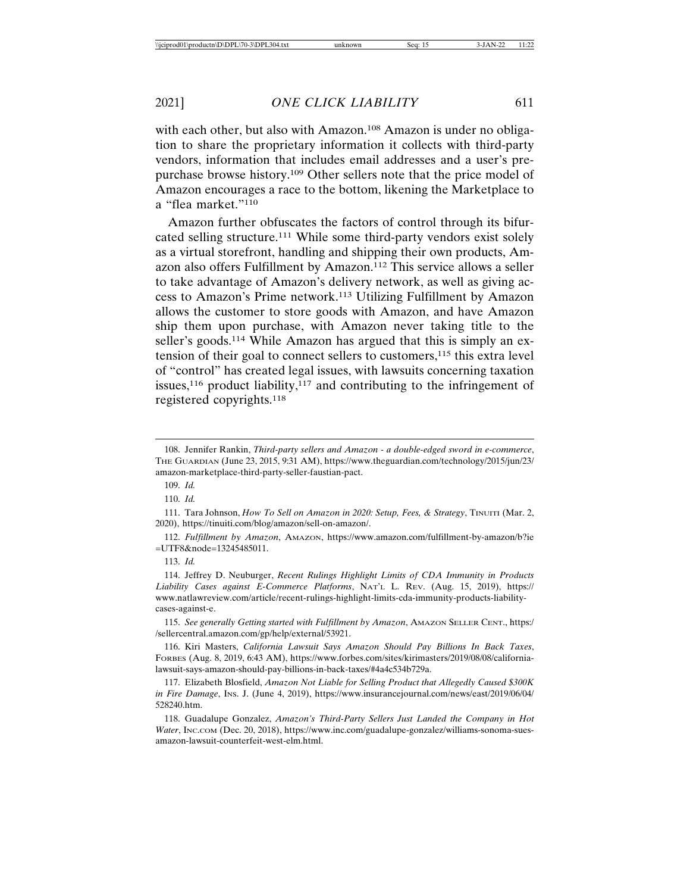with each other, but also with Amazon.<sup>108</sup> Amazon is under no obligation to share the proprietary information it collects with third-party vendors, information that includes email addresses and a user's prepurchase browse history.109 Other sellers note that the price model of Amazon encourages a race to the bottom, likening the Marketplace to a "flea market."110

Amazon further obfuscates the factors of control through its bifurcated selling structure.111 While some third-party vendors exist solely as a virtual storefront, handling and shipping their own products, Amazon also offers Fulfillment by Amazon.112 This service allows a seller to take advantage of Amazon's delivery network, as well as giving access to Amazon's Prime network.113 Utilizing Fulfillment by Amazon allows the customer to store goods with Amazon, and have Amazon ship them upon purchase, with Amazon never taking title to the seller's goods.<sup>114</sup> While Amazon has argued that this is simply an extension of their goal to connect sellers to customers,115 this extra level of "control" has created legal issues, with lawsuits concerning taxation issues, $116$  product liability, $117$  and contributing to the infringement of registered copyrights.118

109. *Id.*

110. *Id.*

111. Tara Johnson, *How To Sell on Amazon in 2020: Setup, Fees, & Strategy*, TINUITI (Mar. 2, 2020), https://tinuiti.com/blog/amazon/sell-on-amazon/.

112. *Fulfillment by Amazon*, AMAZON, https://www.amazon.com/fulfillment-by-amazon/b?ie =UTF8&node=13245485011.

113. *Id.*

114. Jeffrey D. Neuburger, *Recent Rulings Highlight Limits of CDA Immunity in Products Liability Cases against E-Commerce Platforms*, NAT'L L. REV. (Aug. 15, 2019), https:// www.natlawreview.com/article/recent-rulings-highlight-limits-cda-immunity-products-liabilitycases-against-e.

115. *See generally Getting started with Fulfillment by Amazon*, AMAZON SELLER CENT., https:/ /sellercentral.amazon.com/gp/help/external/53921.

116. Kiri Masters, *California Lawsuit Says Amazon Should Pay Billions In Back Taxes*, FORBES (Aug. 8, 2019, 6:43 AM), https://www.forbes.com/sites/kirimasters/2019/08/08/californialawsuit-says-amazon-should-pay-billions-in-back-taxes/#4a4c534b729a.

117. Elizabeth Blosfield, *Amazon Not Liable for Selling Product that Allegedly Caused \$300K in Fire Damage*, Ins. J. (June 4, 2019), https://www.insurancejournal.com/news/east/2019/06/04/ 528240.htm.

118. Guadalupe Gonzalez, *Amazon's Third-Party Sellers Just Landed the Company in Hot* Water, INC.COM (Dec. 20, 2018), https://www.inc.com/guadalupe-gonzalez/williams-sonoma-suesamazon-lawsuit-counterfeit-west-elm.html.

<sup>108.</sup> Jennifer Rankin, *Third-party sellers and Amazon - a double-edged sword in e-commerce*, THE GUARDIAN (June 23, 2015, 9:31 AM), https://www.theguardian.com/technology/2015/jun/23/ amazon-marketplace-third-party-seller-faustian-pact.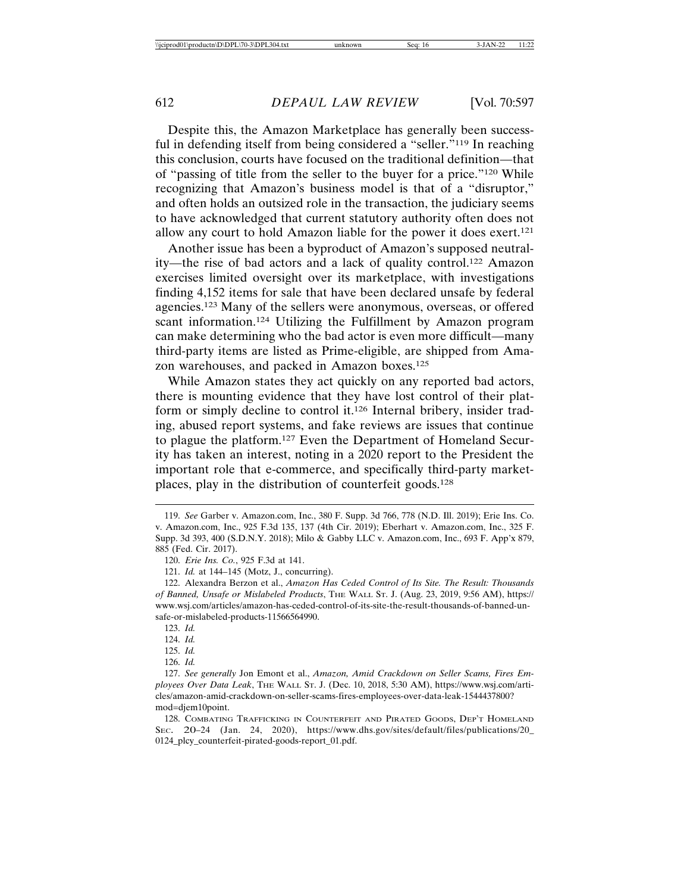Despite this, the Amazon Marketplace has generally been successful in defending itself from being considered a "seller."119 In reaching this conclusion, courts have focused on the traditional definition—that of "passing of title from the seller to the buyer for a price."120 While recognizing that Amazon's business model is that of a "disruptor," and often holds an outsized role in the transaction, the judiciary seems to have acknowledged that current statutory authority often does not allow any court to hold Amazon liable for the power it does exert.121

Another issue has been a byproduct of Amazon's supposed neutrality—the rise of bad actors and a lack of quality control.122 Amazon exercises limited oversight over its marketplace, with investigations finding 4,152 items for sale that have been declared unsafe by federal agencies.123 Many of the sellers were anonymous, overseas, or offered scant information.124 Utilizing the Fulfillment by Amazon program can make determining who the bad actor is even more difficult—many third-party items are listed as Prime-eligible, are shipped from Amazon warehouses, and packed in Amazon boxes.125

While Amazon states they act quickly on any reported bad actors, there is mounting evidence that they have lost control of their platform or simply decline to control it.126 Internal bribery, insider trading, abused report systems, and fake reviews are issues that continue to plague the platform.127 Even the Department of Homeland Security has taken an interest, noting in a 2020 report to the President the important role that e-commerce, and specifically third-party marketplaces, play in the distribution of counterfeit goods.128

124. *Id.*

<sup>119.</sup> *See* Garber v. Amazon.com, Inc., 380 F. Supp. 3d 766, 778 (N.D. Ill. 2019); Erie Ins. Co. v. Amazon.com, Inc., 925 F.3d 135, 137 (4th Cir. 2019); Eberhart v. Amazon.com, Inc., 325 F. Supp. 3d 393, 400 (S.D.N.Y. 2018); Milo & Gabby LLC v. Amazon.com, Inc., 693 F. App'x 879, 885 (Fed. Cir. 2017).

<sup>120.</sup> *Erie Ins. Co.*, 925 F.3d at 141.

<sup>121.</sup> *Id.* at 144–145 (Motz, J., concurring).

<sup>122.</sup> Alexandra Berzon et al., *Amazon Has Ceded Control of Its Site. The Result: Thousands of Banned, Unsafe or Mislabeled Products*, THE WALL ST. J. (Aug. 23, 2019, 9:56 AM), https:// www.wsj.com/articles/amazon-has-ceded-control-of-its-site-the-result-thousands-of-banned-unsafe-or-mislabeled-products-11566564990.

<sup>123.</sup> *Id.*

<sup>125.</sup> *Id.*

<sup>126.</sup> *Id.*

<sup>127.</sup> *See generally* Jon Emont et al., *Amazon, Amid Crackdown on Seller Scams, Fires Employees Over Data Leak*, THE WALL ST. J. (Dec. 10, 2018, 5:30 AM), https://www.wsj.com/articles/amazon-amid-crackdown-on-seller-scams-fires-employees-over-data-leak-1544437800? mod=djem10point.

<sup>128.</sup> COMBATING TRAFFICKING IN COUNTERFEIT AND PIRATED GOODS, DEP'T HOMELAND SEC. 20–24 (Jan. 24, 2020), https://www.dhs.gov/sites/default/files/publications/20\_ 0124\_plcy\_counterfeit-pirated-goods-report\_01.pdf.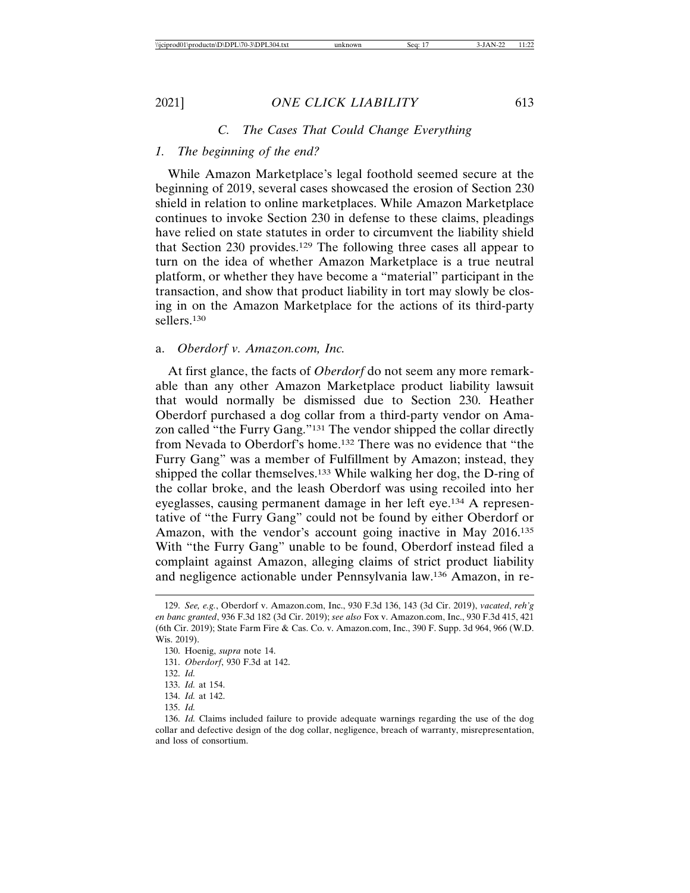#### *C. The Cases That Could Change Everything*

#### *1. The beginning of the end?*

While Amazon Marketplace's legal foothold seemed secure at the beginning of 2019, several cases showcased the erosion of Section 230 shield in relation to online marketplaces. While Amazon Marketplace continues to invoke Section 230 in defense to these claims, pleadings have relied on state statutes in order to circumvent the liability shield that Section 230 provides.129 The following three cases all appear to turn on the idea of whether Amazon Marketplace is a true neutral platform, or whether they have become a "material" participant in the transaction, and show that product liability in tort may slowly be closing in on the Amazon Marketplace for the actions of its third-party sellers.130

#### a. *Oberdorf v. Amazon.com, Inc.*

At first glance, the facts of *Oberdorf* do not seem any more remarkable than any other Amazon Marketplace product liability lawsuit that would normally be dismissed due to Section 230. Heather Oberdorf purchased a dog collar from a third-party vendor on Amazon called "the Furry Gang."131 The vendor shipped the collar directly from Nevada to Oberdorf's home.132 There was no evidence that "the Furry Gang" was a member of Fulfillment by Amazon; instead, they shipped the collar themselves.133 While walking her dog, the D-ring of the collar broke, and the leash Oberdorf was using recoiled into her eyeglasses, causing permanent damage in her left eye.134 A representative of "the Furry Gang" could not be found by either Oberdorf or Amazon, with the vendor's account going inactive in May 2016.135 With "the Furry Gang" unable to be found, Oberdorf instead filed a complaint against Amazon, alleging claims of strict product liability and negligence actionable under Pennsylvania law.136 Amazon, in re-

<sup>129.</sup> *See, e.g.*, Oberdorf v. Amazon.com, Inc., 930 F.3d 136, 143 (3d Cir. 2019), *vacated*, *reh'g en banc granted*, 936 F.3d 182 (3d Cir. 2019); *see also* Fox v. Amazon.com, Inc., 930 F.3d 415, 421 (6th Cir. 2019); State Farm Fire & Cas. Co. v. Amazon.com, Inc., 390 F. Supp. 3d 964, 966 (W.D. Wis. 2019).

<sup>130.</sup> Hoenig, *supra* note 14.

<sup>131.</sup> *Oberdorf*, 930 F.3d at 142.

<sup>132.</sup> *Id.*

<sup>133.</sup> *Id.* at 154.

<sup>134.</sup> *Id.* at 142.

<sup>135.</sup> *Id.*

<sup>136.</sup> *Id.* Claims included failure to provide adequate warnings regarding the use of the dog collar and defective design of the dog collar, negligence, breach of warranty, misrepresentation, and loss of consortium.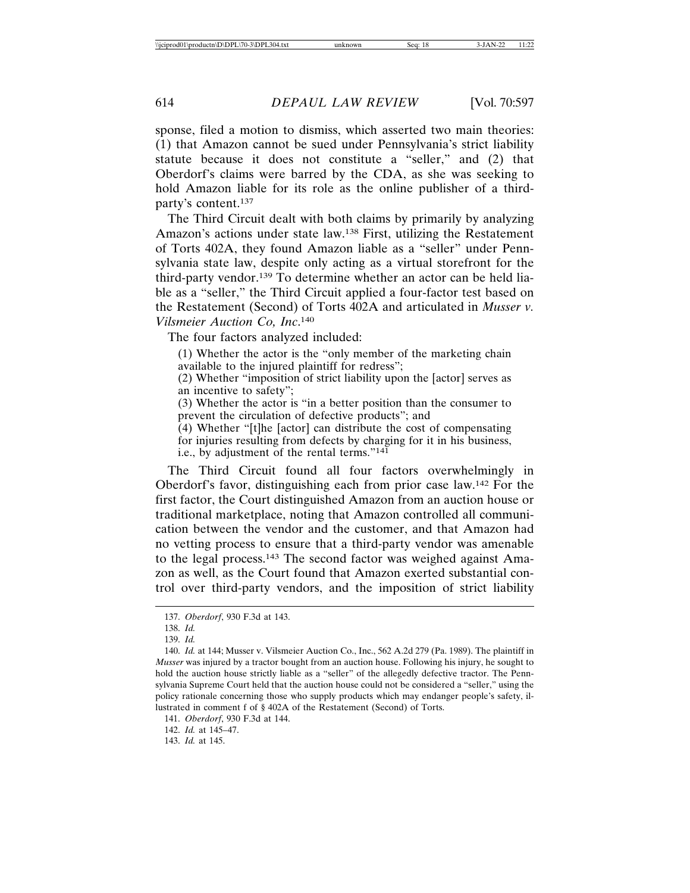sponse, filed a motion to dismiss, which asserted two main theories: (1) that Amazon cannot be sued under Pennsylvania's strict liability statute because it does not constitute a "seller," and (2) that Oberdorf's claims were barred by the CDA, as she was seeking to hold Amazon liable for its role as the online publisher of a thirdparty's content.137

The Third Circuit dealt with both claims by primarily by analyzing Amazon's actions under state law.138 First, utilizing the Restatement of Torts 402A, they found Amazon liable as a "seller" under Pennsylvania state law, despite only acting as a virtual storefront for the third-party vendor.139 To determine whether an actor can be held liable as a "seller," the Third Circuit applied a four-factor test based on the Restatement (Second) of Torts 402A and articulated in *Musser v. Vilsmeier Auction Co, Inc*. 140

The four factors analyzed included:

(1) Whether the actor is the "only member of the marketing chain available to the injured plaintiff for redress";

(2) Whether "imposition of strict liability upon the [actor] serves as an incentive to safety";

(3) Whether the actor is "in a better position than the consumer to prevent the circulation of defective products"; and

(4) Whether "[t]he [actor] can distribute the cost of compensating

for injuries resulting from defects by charging for it in his business,

i.e., by adjustment of the rental terms."141

The Third Circuit found all four factors overwhelmingly in Oberdorf's favor, distinguishing each from prior case law.142 For the first factor, the Court distinguished Amazon from an auction house or traditional marketplace, noting that Amazon controlled all communication between the vendor and the customer, and that Amazon had no vetting process to ensure that a third-party vendor was amenable to the legal process.143 The second factor was weighed against Amazon as well, as the Court found that Amazon exerted substantial control over third-party vendors, and the imposition of strict liability

141. *Oberdorf*, 930 F.3d at 144.

142. *Id.* at 145–47.

143. *Id.* at 145.

<sup>137.</sup> *Oberdorf*, 930 F.3d at 143.

<sup>138.</sup> *Id.*

<sup>139.</sup> *Id.*

<sup>140.</sup> *Id.* at 144; Musser v. Vilsmeier Auction Co., Inc., 562 A.2d 279 (Pa. 1989). The plaintiff in *Musser* was injured by a tractor bought from an auction house. Following his injury, he sought to hold the auction house strictly liable as a "seller" of the allegedly defective tractor. The Pennsylvania Supreme Court held that the auction house could not be considered a "seller," using the policy rationale concerning those who supply products which may endanger people's safety, illustrated in comment f of § 402A of the Restatement (Second) of Torts.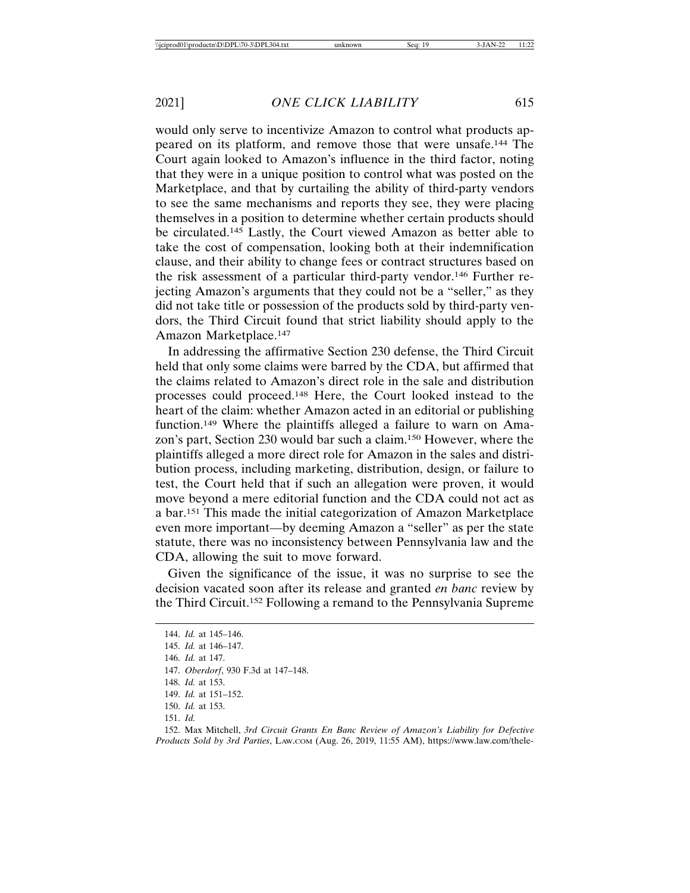would only serve to incentivize Amazon to control what products appeared on its platform, and remove those that were unsafe.144 The Court again looked to Amazon's influence in the third factor, noting that they were in a unique position to control what was posted on the Marketplace, and that by curtailing the ability of third-party vendors to see the same mechanisms and reports they see, they were placing themselves in a position to determine whether certain products should be circulated.145 Lastly, the Court viewed Amazon as better able to take the cost of compensation, looking both at their indemnification clause, and their ability to change fees or contract structures based on the risk assessment of a particular third-party vendor.146 Further rejecting Amazon's arguments that they could not be a "seller," as they did not take title or possession of the products sold by third-party vendors, the Third Circuit found that strict liability should apply to the Amazon Marketplace.147

In addressing the affirmative Section 230 defense, the Third Circuit held that only some claims were barred by the CDA, but affirmed that the claims related to Amazon's direct role in the sale and distribution processes could proceed.148 Here, the Court looked instead to the heart of the claim: whether Amazon acted in an editorial or publishing function.149 Where the plaintiffs alleged a failure to warn on Amazon's part, Section 230 would bar such a claim.150 However, where the plaintiffs alleged a more direct role for Amazon in the sales and distribution process, including marketing, distribution, design, or failure to test, the Court held that if such an allegation were proven, it would move beyond a mere editorial function and the CDA could not act as a bar.151 This made the initial categorization of Amazon Marketplace even more important—by deeming Amazon a "seller" as per the state statute, there was no inconsistency between Pennsylvania law and the CDA, allowing the suit to move forward.

Given the significance of the issue, it was no surprise to see the decision vacated soon after its release and granted *en banc* review by the Third Circuit.152 Following a remand to the Pennsylvania Supreme

<sup>144.</sup> *Id.* at 145–146.

<sup>145.</sup> *Id.* at 146–147.

<sup>146.</sup> *Id.* at 147.

<sup>147.</sup> *Oberdorf*, 930 F.3d at 147–148.

<sup>148.</sup> *Id.* at 153.

<sup>149.</sup> *Id.* at 151–152.

<sup>150.</sup> *Id.* at 153.

<sup>151.</sup> *Id.*

<sup>152.</sup> Max Mitchell, *3rd Circuit Grants En Banc Review of Amazon's Liability for Defective Products Sold by 3rd Parties*, LAW.COM (Aug. 26, 2019, 11:55 AM), https://www.law.com/thele-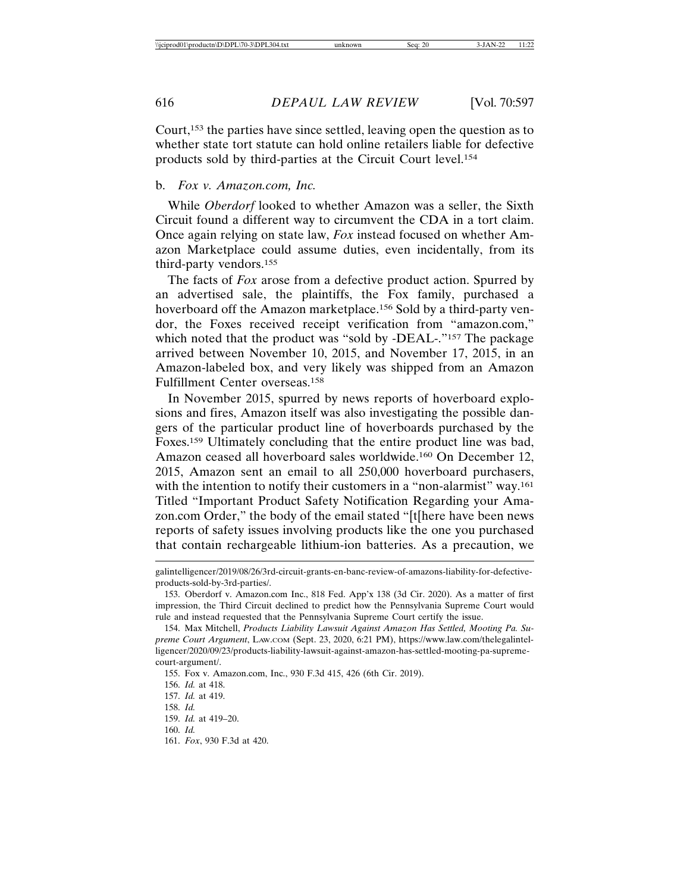Court,<sup>153</sup> the parties have since settled, leaving open the question as to whether state tort statute can hold online retailers liable for defective products sold by third-parties at the Circuit Court level.154

#### b. *Fox v. Amazon.com, Inc.*

While *Oberdorf* looked to whether Amazon was a seller, the Sixth Circuit found a different way to circumvent the CDA in a tort claim. Once again relying on state law, *Fox* instead focused on whether Amazon Marketplace could assume duties, even incidentally, from its third-party vendors.155

The facts of *Fox* arose from a defective product action. Spurred by an advertised sale, the plaintiffs, the Fox family, purchased a hoverboard off the Amazon marketplace.156 Sold by a third-party vendor, the Foxes received receipt verification from "amazon.com," which noted that the product was "sold by -DEAL-."<sup>157</sup> The package arrived between November 10, 2015, and November 17, 2015, in an Amazon-labeled box, and very likely was shipped from an Amazon Fulfillment Center overseas.158

In November 2015, spurred by news reports of hoverboard explosions and fires, Amazon itself was also investigating the possible dangers of the particular product line of hoverboards purchased by the Foxes.159 Ultimately concluding that the entire product line was bad, Amazon ceased all hoverboard sales worldwide.160 On December 12, 2015, Amazon sent an email to all 250,000 hoverboard purchasers, with the intention to notify their customers in a "non-alarmist" way.<sup>161</sup> Titled "Important Product Safety Notification Regarding your Amazon.com Order," the body of the email stated "[t[here have been news reports of safety issues involving products like the one you purchased that contain rechargeable lithium-ion batteries. As a precaution, we

161. *Fox*, 930 F.3d at 420.

galintelligencer/2019/08/26/3rd-circuit-grants-en-banc-review-of-amazons-liability-for-defectiveproducts-sold-by-3rd-parties/.

<sup>153.</sup> Oberdorf v. Amazon.com Inc., 818 Fed. App'x 138 (3d Cir. 2020). As a matter of first impression, the Third Circuit declined to predict how the Pennsylvania Supreme Court would rule and instead requested that the Pennsylvania Supreme Court certify the issue.

<sup>154.</sup> Max Mitchell, *Products Liability Lawsuit Against Amazon Has Settled, Mooting Pa. Supreme Court Argument*, LAW.COM (Sept. 23, 2020, 6:21 PM), https://www.law.com/thelegalintelligencer/2020/09/23/products-liability-lawsuit-against-amazon-has-settled-mooting-pa-supremecourt-argument/.

<sup>155.</sup> Fox v. Amazon.com, Inc., 930 F.3d 415, 426 (6th Cir. 2019).

<sup>156.</sup> *Id.* at 418.

<sup>157.</sup> *Id.* at 419.

<sup>158.</sup> *Id.*

<sup>159.</sup> *Id.* at 419–20.

<sup>160.</sup> *Id.*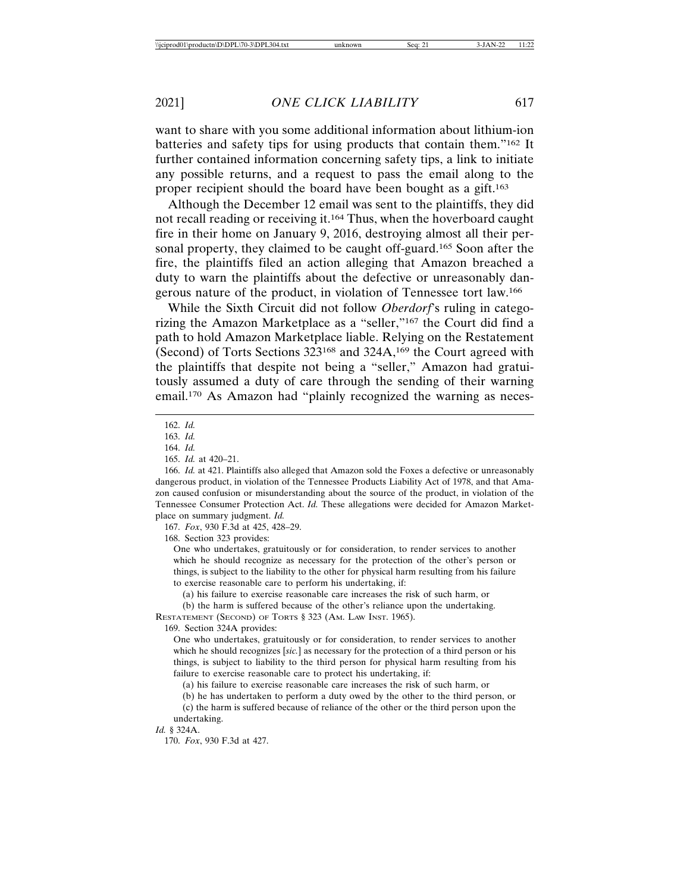want to share with you some additional information about lithium-ion batteries and safety tips for using products that contain them."162 It further contained information concerning safety tips, a link to initiate any possible returns, and a request to pass the email along to the proper recipient should the board have been bought as a gift.163

Although the December 12 email was sent to the plaintiffs, they did not recall reading or receiving it.164 Thus, when the hoverboard caught fire in their home on January 9, 2016, destroying almost all their personal property, they claimed to be caught off-guard.165 Soon after the fire, the plaintiffs filed an action alleging that Amazon breached a duty to warn the plaintiffs about the defective or unreasonably dangerous nature of the product, in violation of Tennessee tort law.166

While the Sixth Circuit did not follow *Oberdorf*'s ruling in categorizing the Amazon Marketplace as a "seller,"167 the Court did find a path to hold Amazon Marketplace liable. Relying on the Restatement (Second) of Torts Sections 323168 and 324A,169 the Court agreed with the plaintiffs that despite not being a "seller," Amazon had gratuitously assumed a duty of care through the sending of their warning email.170 As Amazon had "plainly recognized the warning as neces-

163. *Id.*

167. *Fox*, 930 F.3d at 425, 428–29.

168. Section 323 provides:

One who undertakes, gratuitously or for consideration, to render services to another which he should recognize as necessary for the protection of the other's person or things, is subject to the liability to the other for physical harm resulting from his failure to exercise reasonable care to perform his undertaking, if:

(a) his failure to exercise reasonable care increases the risk of such harm, or

(b) the harm is suffered because of the other's reliance upon the undertaking.

RESTATEMENT (SECOND) OF TORTS § 323 (AM. LAW INST. 1965).

169. Section 324A provides:

One who undertakes, gratuitously or for consideration, to render services to another which he should recognizes [*sic.*] as necessary for the protection of a third person or his things, is subject to liability to the third person for physical harm resulting from his failure to exercise reasonable care to protect his undertaking, if:

(a) his failure to exercise reasonable care increases the risk of such harm, or

(b) he has undertaken to perform a duty owed by the other to the third person, or (c) the harm is suffered because of reliance of the other or the third person upon the undertaking.

*Id.* § 324A.

170. *Fox*, 930 F.3d at 427.

<sup>162.</sup> *Id.*

<sup>164.</sup> *Id.*

<sup>165.</sup> *Id.* at 420–21.

<sup>166.</sup> *Id.* at 421. Plaintiffs also alleged that Amazon sold the Foxes a defective or unreasonably dangerous product, in violation of the Tennessee Products Liability Act of 1978, and that Amazon caused confusion or misunderstanding about the source of the product, in violation of the Tennessee Consumer Protection Act. *Id.* These allegations were decided for Amazon Marketplace on summary judgment. *Id.*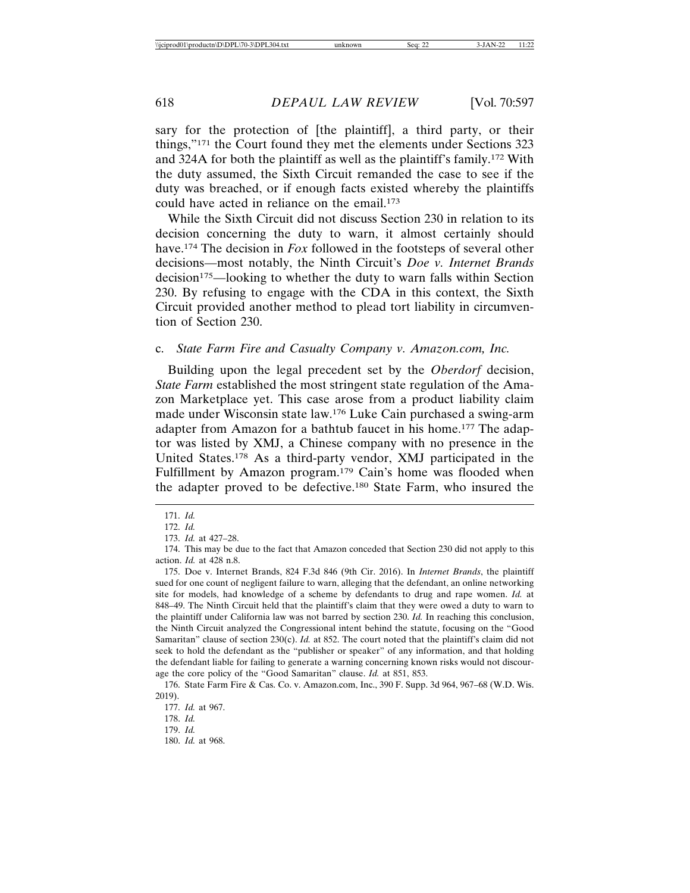sary for the protection of [the plaintiff], a third party, or their things,"171 the Court found they met the elements under Sections 323 and 324A for both the plaintiff as well as the plaintiff's family.172 With the duty assumed, the Sixth Circuit remanded the case to see if the duty was breached, or if enough facts existed whereby the plaintiffs could have acted in reliance on the email.173

While the Sixth Circuit did not discuss Section 230 in relation to its decision concerning the duty to warn, it almost certainly should have.174 The decision in *Fox* followed in the footsteps of several other decisions—most notably, the Ninth Circuit's *Doe v. Internet Brands* decision<sup>175</sup>—looking to whether the duty to warn falls within Section 230. By refusing to engage with the CDA in this context, the Sixth Circuit provided another method to plead tort liability in circumvention of Section 230.

#### c. *State Farm Fire and Casualty Company v. Amazon.com, Inc.*

Building upon the legal precedent set by the *Oberdorf* decision, *State Farm* established the most stringent state regulation of the Amazon Marketplace yet. This case arose from a product liability claim made under Wisconsin state law.176 Luke Cain purchased a swing-arm adapter from Amazon for a bathtub faucet in his home.177 The adaptor was listed by XMJ, a Chinese company with no presence in the United States.178 As a third-party vendor, XMJ participated in the Fulfillment by Amazon program.179 Cain's home was flooded when the adapter proved to be defective.180 State Farm, who insured the

<sup>171.</sup> *Id.*

<sup>172.</sup> *Id.*

<sup>173.</sup> *Id.* at 427–28.

<sup>174.</sup> This may be due to the fact that Amazon conceded that Section 230 did not apply to this action. *Id.* at 428 n.8.

<sup>175.</sup> Doe v. Internet Brands, 824 F.3d 846 (9th Cir. 2016). In *Internet Brands*, the plaintiff sued for one count of negligent failure to warn, alleging that the defendant, an online networking site for models, had knowledge of a scheme by defendants to drug and rape women. *Id.* at 848–49. The Ninth Circuit held that the plaintiff's claim that they were owed a duty to warn to the plaintiff under California law was not barred by section 230. *Id.* In reaching this conclusion, the Ninth Circuit analyzed the Congressional intent behind the statute, focusing on the "Good Samaritan" clause of section 230(c). *Id.* at 852. The court noted that the plaintiff's claim did not seek to hold the defendant as the "publisher or speaker" of any information, and that holding the defendant liable for failing to generate a warning concerning known risks would not discourage the core policy of the "Good Samaritan" clause. *Id.* at 851, 853.

<sup>176.</sup> State Farm Fire & Cas. Co. v. Amazon.com, Inc., 390 F. Supp. 3d 964, 967–68 (W.D. Wis. 2019).

<sup>177.</sup> *Id.* at 967. 178. *Id.*

<sup>179.</sup> *Id.*

<sup>180.</sup> *Id.* at 968.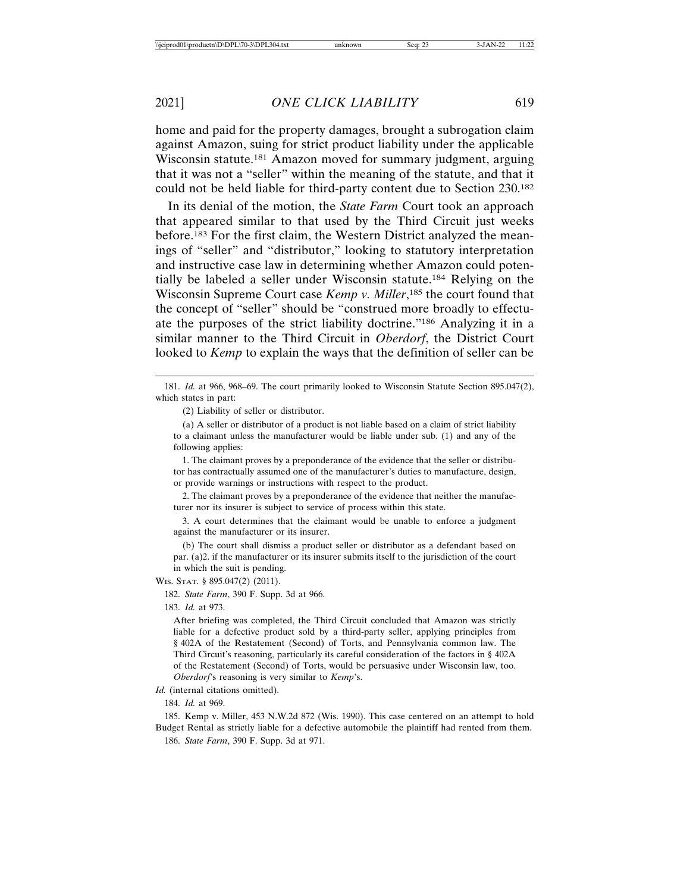home and paid for the property damages, brought a subrogation claim against Amazon, suing for strict product liability under the applicable Wisconsin statute.181 Amazon moved for summary judgment, arguing that it was not a "seller" within the meaning of the statute, and that it could not be held liable for third-party content due to Section 230.182

In its denial of the motion, the *State Farm* Court took an approach that appeared similar to that used by the Third Circuit just weeks before.183 For the first claim, the Western District analyzed the meanings of "seller" and "distributor," looking to statutory interpretation and instructive case law in determining whether Amazon could potentially be labeled a seller under Wisconsin statute.184 Relying on the Wisconsin Supreme Court case *Kemp v. Miller*, 185 the court found that the concept of "seller" should be "construed more broadly to effectuate the purposes of the strict liability doctrine."186 Analyzing it in a similar manner to the Third Circuit in *Oberdorf*, the District Court looked to *Kemp* to explain the ways that the definition of seller can be

(2) Liability of seller or distributor.

(a) A seller or distributor of a product is not liable based on a claim of strict liability to a claimant unless the manufacturer would be liable under sub. (1) and any of the following applies:

1. The claimant proves by a preponderance of the evidence that the seller or distributor has contractually assumed one of the manufacturer's duties to manufacture, design, or provide warnings or instructions with respect to the product.

2. The claimant proves by a preponderance of the evidence that neither the manufacturer nor its insurer is subject to service of process within this state.

3. A court determines that the claimant would be unable to enforce a judgment against the manufacturer or its insurer.

(b) The court shall dismiss a product seller or distributor as a defendant based on par. (a)2. if the manufacturer or its insurer submits itself to the jurisdiction of the court in which the suit is pending.

WIS. STAT. § 895.047(2) (2011).

182. *State Farm*, 390 F. Supp. 3d at 966.

183. *Id.* at 973.

After briefing was completed, the Third Circuit concluded that Amazon was strictly liable for a defective product sold by a third-party seller, applying principles from § 402A of the Restatement (Second) of Torts, and Pennsylvania common law. The Third Circuit's reasoning, particularly its careful consideration of the factors in § 402A of the Restatement (Second) of Torts, would be persuasive under Wisconsin law, too. *Oberdorf*'s reasoning is very similar to *Kemp*'s.

*Id.* (internal citations omitted).

184. *Id.* at 969.

185. Kemp v. Miller, 453 N.W.2d 872 (Wis. 1990). This case centered on an attempt to hold Budget Rental as strictly liable for a defective automobile the plaintiff had rented from them. 186. *State Farm*, 390 F. Supp. 3d at 971.

<sup>181.</sup> *Id.* at 966, 968–69. The court primarily looked to Wisconsin Statute Section 895.047(2), which states in part: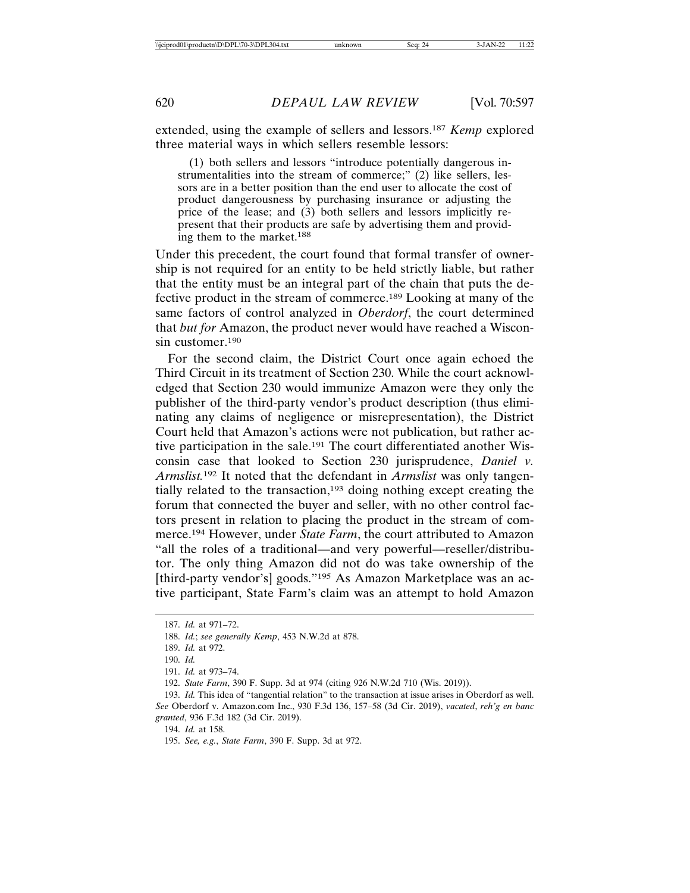extended, using the example of sellers and lessors.187 *Kemp* explored three material ways in which sellers resemble lessors:

(1) both sellers and lessors "introduce potentially dangerous instrumentalities into the stream of commerce;" (2) like sellers, lessors are in a better position than the end user to allocate the cost of product dangerousness by purchasing insurance or adjusting the price of the lease; and (3) both sellers and lessors implicitly represent that their products are safe by advertising them and providing them to the market.188

Under this precedent, the court found that formal transfer of ownership is not required for an entity to be held strictly liable, but rather that the entity must be an integral part of the chain that puts the defective product in the stream of commerce.189 Looking at many of the same factors of control analyzed in *Oberdorf*, the court determined that *but for* Amazon, the product never would have reached a Wisconsin customer.190

For the second claim, the District Court once again echoed the Third Circuit in its treatment of Section 230. While the court acknowledged that Section 230 would immunize Amazon were they only the publisher of the third-party vendor's product description (thus eliminating any claims of negligence or misrepresentation), the District Court held that Amazon's actions were not publication, but rather active participation in the sale.191 The court differentiated another Wisconsin case that looked to Section 230 jurisprudence, *Daniel v. Armslist.*192 It noted that the defendant in *Armslist* was only tangentially related to the transaction,<sup>193</sup> doing nothing except creating the forum that connected the buyer and seller, with no other control factors present in relation to placing the product in the stream of commerce.194 However, under *State Farm*, the court attributed to Amazon "all the roles of a traditional—and very powerful—reseller/distributor. The only thing Amazon did not do was take ownership of the [third-party vendor's] goods."<sup>195</sup> As Amazon Marketplace was an active participant, State Farm's claim was an attempt to hold Amazon

<sup>187.</sup> *Id.* at 971–72.

<sup>188.</sup> *Id.*; *see generally Kemp*, 453 N.W.2d at 878.

<sup>189.</sup> *Id.* at 972.

<sup>190.</sup> *Id.*

<sup>191.</sup> *Id.* at 973–74.

<sup>192.</sup> *State Farm*, 390 F. Supp. 3d at 974 (citing 926 N.W.2d 710 (Wis. 2019)).

<sup>193.</sup> *Id.* This idea of "tangential relation" to the transaction at issue arises in Oberdorf as well. *See* Oberdorf v. Amazon.com Inc., 930 F.3d 136, 157–58 (3d Cir. 2019), *vacated*, *reh'g en banc granted*, 936 F.3d 182 (3d Cir. 2019).

<sup>194.</sup> *Id.* at 158.

<sup>195.</sup> *See, e.g.*, *State Farm*, 390 F. Supp. 3d at 972.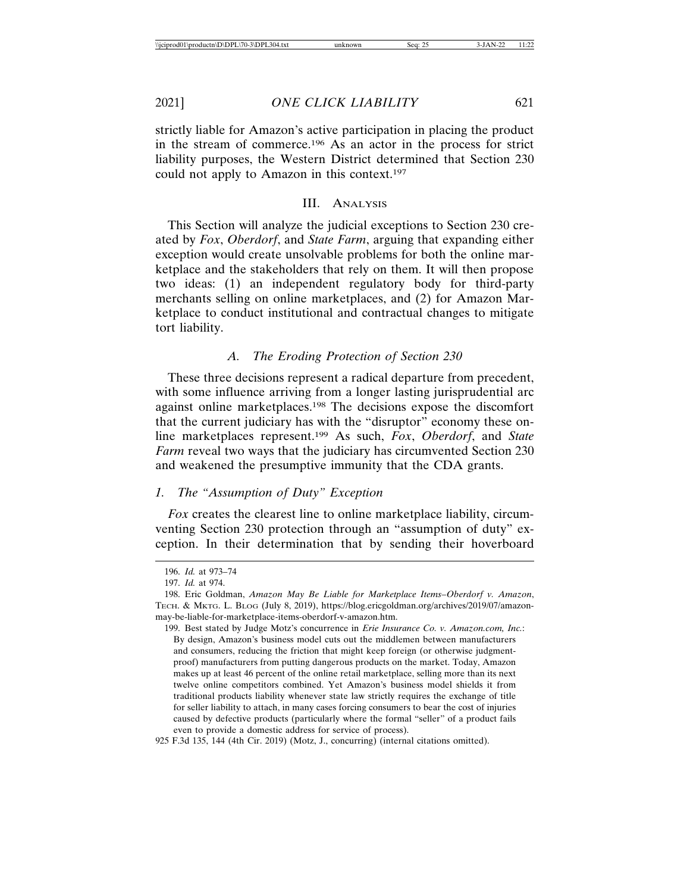strictly liable for Amazon's active participation in placing the product in the stream of commerce.196 As an actor in the process for strict liability purposes, the Western District determined that Section 230 could not apply to Amazon in this context.197

#### III. ANALYSIS

This Section will analyze the judicial exceptions to Section 230 created by *Fox*, *Oberdorf*, and *State Farm*, arguing that expanding either exception would create unsolvable problems for both the online marketplace and the stakeholders that rely on them. It will then propose two ideas: (1) an independent regulatory body for third-party merchants selling on online marketplaces, and (2) for Amazon Marketplace to conduct institutional and contractual changes to mitigate tort liability.

## *A. The Eroding Protection of Section 230*

These three decisions represent a radical departure from precedent, with some influence arriving from a longer lasting jurisprudential arc against online marketplaces.198 The decisions expose the discomfort that the current judiciary has with the "disruptor" economy these online marketplaces represent.199 As such, *Fox*, *Oberdorf*, and *State Farm* reveal two ways that the judiciary has circumvented Section 230 and weakened the presumptive immunity that the CDA grants.

#### *1. The "Assumption of Duty" Exception*

*Fox* creates the clearest line to online marketplace liability, circumventing Section 230 protection through an "assumption of duty" exception. In their determination that by sending their hoverboard

<sup>196.</sup> *Id.* at 973–74

<sup>197.</sup> *Id.* at 974.

<sup>198.</sup> Eric Goldman, *Amazon May Be Liable for Marketplace Items–Oberdorf v. Amazon*, TECH. & MKTG. L. BLOG (July 8, 2019), https://blog.ericgoldman.org/archives/2019/07/amazonmay-be-liable-for-marketplace-items-oberdorf-v-amazon.htm.

<sup>199.</sup> Best stated by Judge Motz's concurrence in *Erie Insurance Co. v. Amazon.com, Inc.*: By design, Amazon's business model cuts out the middlemen between manufacturers and consumers, reducing the friction that might keep foreign (or otherwise judgmentproof) manufacturers from putting dangerous products on the market. Today, Amazon makes up at least 46 percent of the online retail marketplace, selling more than its next twelve online competitors combined. Yet Amazon's business model shields it from traditional products liability whenever state law strictly requires the exchange of title for seller liability to attach, in many cases forcing consumers to bear the cost of injuries caused by defective products (particularly where the formal "seller" of a product fails even to provide a domestic address for service of process).

<sup>925</sup> F.3d 135, 144 (4th Cir. 2019) (Motz, J., concurring) (internal citations omitted).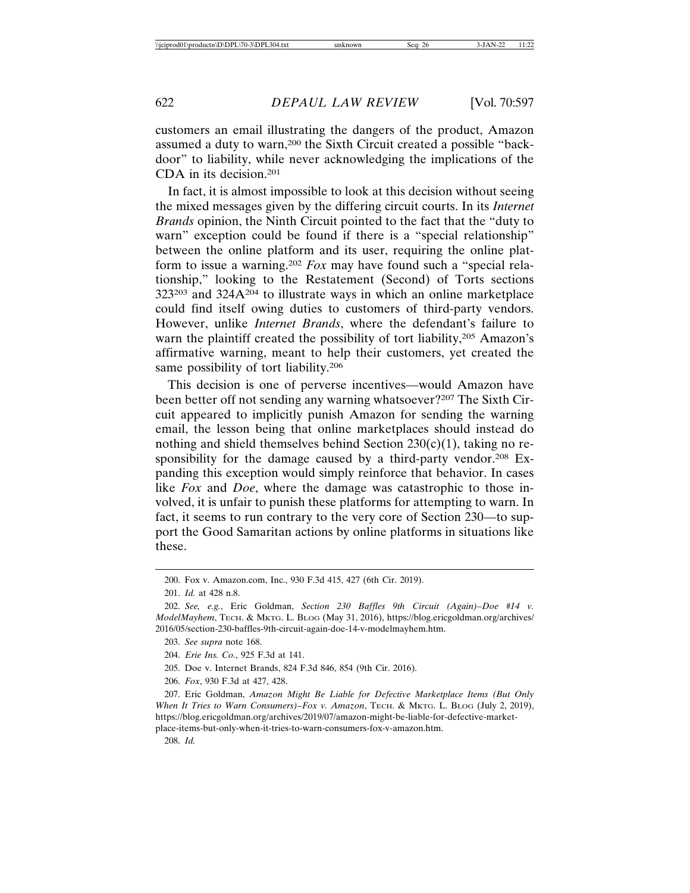customers an email illustrating the dangers of the product, Amazon assumed a duty to warn,200 the Sixth Circuit created a possible "backdoor" to liability, while never acknowledging the implications of the CDA in its decision.201

In fact, it is almost impossible to look at this decision without seeing the mixed messages given by the differing circuit courts. In its *Internet Brands* opinion, the Ninth Circuit pointed to the fact that the "duty to warn" exception could be found if there is a "special relationship" between the online platform and its user, requiring the online platform to issue a warning.202 *Fox* may have found such a "special relationship," looking to the Restatement (Second) of Torts sections 323203 and 324A204 to illustrate ways in which an online marketplace could find itself owing duties to customers of third-party vendors. However, unlike *Internet Brands*, where the defendant's failure to warn the plaintiff created the possibility of tort liability,<sup>205</sup> Amazon's affirmative warning, meant to help their customers, yet created the same possibility of tort liability.206

This decision is one of perverse incentives—would Amazon have been better off not sending any warning whatsoever?207 The Sixth Circuit appeared to implicitly punish Amazon for sending the warning email, the lesson being that online marketplaces should instead do nothing and shield themselves behind Section  $230(c)(1)$ , taking no responsibility for the damage caused by a third-party vendor.<sup>208</sup> Expanding this exception would simply reinforce that behavior. In cases like *Fox* and *Doe*, where the damage was catastrophic to those involved, it is unfair to punish these platforms for attempting to warn. In fact, it seems to run contrary to the very core of Section 230—to support the Good Samaritan actions by online platforms in situations like these.

206. *Fox*, 930 F.3d at 427, 428.

207. Eric Goldman, *Amazon Might Be Liable for Defective Marketplace Items (But Only When It Tries to Warn Consumers)–Fox v. Amazon*, TECH. & MKTG. L. BLOG (July 2, 2019), https://blog.ericgoldman.org/archives/2019/07/amazon-might-be-liable-for-defective-marketplace-items-but-only-when-it-tries-to-warn-consumers-fox-v-amazon.htm.

208. *Id.*

<sup>200.</sup> Fox v. Amazon.com, Inc., 930 F.3d 415, 427 (6th Cir. 2019).

<sup>201.</sup> *Id.* at 428 n.8.

<sup>202.</sup> *See, e.g.*, Eric Goldman, *Section 230 Baffles 9th Circuit (Again)–Doe #14 v. ModelMayhem*, TECH. & MKTG. L. BLOG (May 31, 2016), https://blog.ericgoldman.org/archives/ 2016/05/section-230-baffles-9th-circuit-again-doe-14-v-modelmayhem.htm.

<sup>203.</sup> *See supra* note 168.

<sup>204.</sup> *Erie Ins. Co.*, 925 F.3d at 141.

<sup>205.</sup> Doe v. Internet Brands, 824 F.3d 846, 854 (9th Cir. 2016).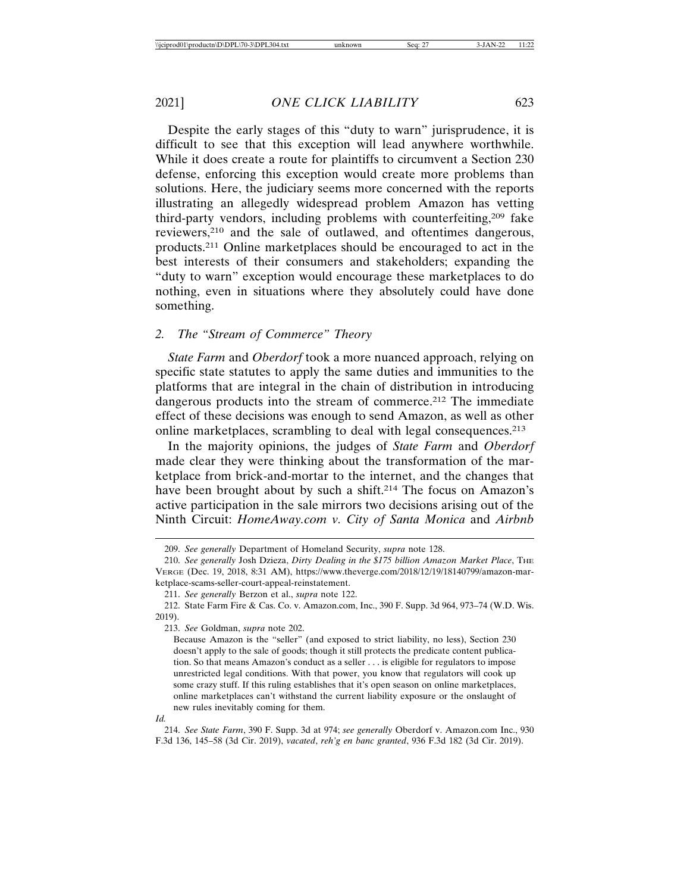Despite the early stages of this "duty to warn" jurisprudence, it is difficult to see that this exception will lead anywhere worthwhile. While it does create a route for plaintiffs to circumvent a Section 230 defense, enforcing this exception would create more problems than solutions. Here, the judiciary seems more concerned with the reports illustrating an allegedly widespread problem Amazon has vetting third-party vendors, including problems with counterfeiting,209 fake reviewers,210 and the sale of outlawed, and oftentimes dangerous, products.211 Online marketplaces should be encouraged to act in the best interests of their consumers and stakeholders; expanding the "duty to warn" exception would encourage these marketplaces to do nothing, even in situations where they absolutely could have done something.

#### *2. The "Stream of Commerce" Theory*

*State Farm* and *Oberdorf* took a more nuanced approach, relying on specific state statutes to apply the same duties and immunities to the platforms that are integral in the chain of distribution in introducing dangerous products into the stream of commerce.<sup>212</sup> The immediate effect of these decisions was enough to send Amazon, as well as other online marketplaces, scrambling to deal with legal consequences.213

In the majority opinions, the judges of *State Farm* and *Oberdorf* made clear they were thinking about the transformation of the marketplace from brick-and-mortar to the internet, and the changes that have been brought about by such a shift.<sup>214</sup> The focus on Amazon's active participation in the sale mirrors two decisions arising out of the Ninth Circuit: *HomeAway.com v. City of Santa Monica* and *Airbnb*

211. *See generally* Berzon et al., *supra* note 122.

213. *See* Goldman, *supra* note 202.

Because Amazon is the "seller" (and exposed to strict liability, no less), Section 230 doesn't apply to the sale of goods; though it still protects the predicate content publication. So that means Amazon's conduct as a seller . . . is eligible for regulators to impose unrestricted legal conditions. With that power, you know that regulators will cook up some crazy stuff. If this ruling establishes that it's open season on online marketplaces, online marketplaces can't withstand the current liability exposure or the onslaught of new rules inevitably coming for them.

214. *See State Farm*, 390 F. Supp. 3d at 974; *see generally* Oberdorf v. Amazon.com Inc., 930 F.3d 136, 145–58 (3d Cir. 2019), *vacated*, *reh'g en banc granted*, 936 F.3d 182 (3d Cir. 2019).

<sup>209.</sup> *See generally* Department of Homeland Security, *supra* note 128.

<sup>210.</sup> *See generally* Josh Dzieza, *Dirty Dealing in the \$175 billion Amazon Market Place*, THE VERGE (Dec. 19, 2018, 8:31 AM), https://www.theverge.com/2018/12/19/18140799/amazon-marketplace-scams-seller-court-appeal-reinstatement.

<sup>212.</sup> State Farm Fire & Cas. Co. v. Amazon.com, Inc., 390 F. Supp. 3d 964, 973–74 (W.D. Wis. 2019).

*Id.*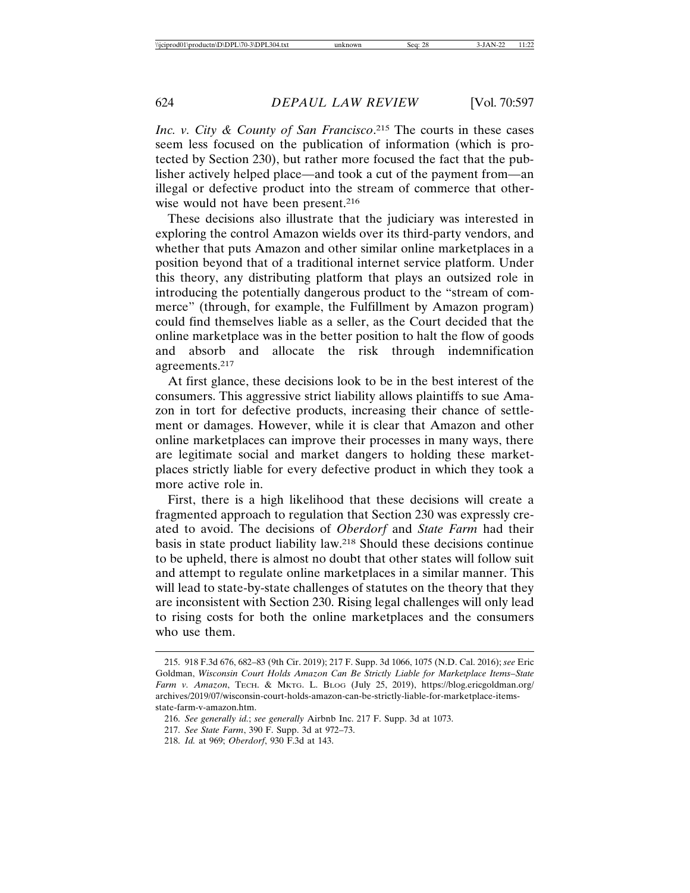*Inc. v. City & County of San Francisco*. 215 The courts in these cases seem less focused on the publication of information (which is protected by Section 230), but rather more focused the fact that the publisher actively helped place—and took a cut of the payment from—an illegal or defective product into the stream of commerce that otherwise would not have been present.<sup>216</sup>

These decisions also illustrate that the judiciary was interested in exploring the control Amazon wields over its third-party vendors, and whether that puts Amazon and other similar online marketplaces in a position beyond that of a traditional internet service platform. Under this theory, any distributing platform that plays an outsized role in introducing the potentially dangerous product to the "stream of commerce" (through, for example, the Fulfillment by Amazon program) could find themselves liable as a seller, as the Court decided that the online marketplace was in the better position to halt the flow of goods and absorb and allocate the risk through indemnification agreements.217

At first glance, these decisions look to be in the best interest of the consumers. This aggressive strict liability allows plaintiffs to sue Amazon in tort for defective products, increasing their chance of settlement or damages. However, while it is clear that Amazon and other online marketplaces can improve their processes in many ways, there are legitimate social and market dangers to holding these marketplaces strictly liable for every defective product in which they took a more active role in.

First, there is a high likelihood that these decisions will create a fragmented approach to regulation that Section 230 was expressly created to avoid. The decisions of *Oberdorf* and *State Farm* had their basis in state product liability law.218 Should these decisions continue to be upheld, there is almost no doubt that other states will follow suit and attempt to regulate online marketplaces in a similar manner. This will lead to state-by-state challenges of statutes on the theory that they are inconsistent with Section 230. Rising legal challenges will only lead to rising costs for both the online marketplaces and the consumers who use them.

<sup>215. 918</sup> F.3d 676, 682–83 (9th Cir. 2019); 217 F. Supp. 3d 1066, 1075 (N.D. Cal. 2016); *see* Eric Goldman, *Wisconsin Court Holds Amazon Can Be Strictly Liable for Marketplace Items–State* Farm v. Amazon, TECH. & MKTG. L. BLOG (July 25, 2019), https://blog.ericgoldman.org/ archives/2019/07/wisconsin-court-holds-amazon-can-be-strictly-liable-for-marketplace-itemsstate-farm-v-amazon.htm.

<sup>216.</sup> *See generally id.*; *see generally* Airbnb Inc. 217 F. Supp. 3d at 1073.

<sup>217.</sup> *See State Farm*, 390 F. Supp. 3d at 972–73.

<sup>218.</sup> *Id.* at 969; *Oberdorf*, 930 F.3d at 143.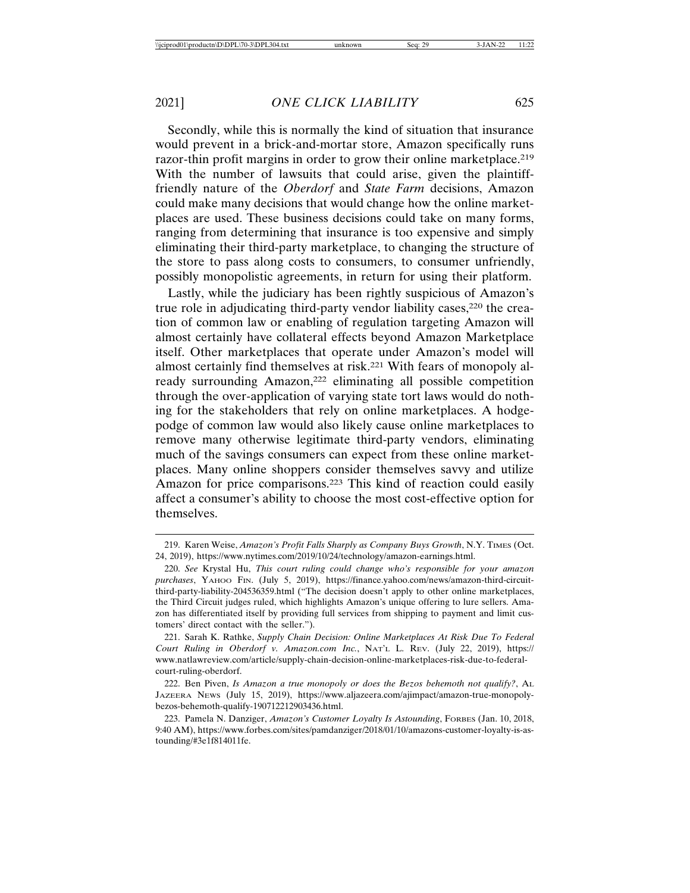Secondly, while this is normally the kind of situation that insurance would prevent in a brick-and-mortar store, Amazon specifically runs razor-thin profit margins in order to grow their online marketplace.<sup>219</sup> With the number of lawsuits that could arise, given the plaintifffriendly nature of the *Oberdorf* and *State Farm* decisions, Amazon could make many decisions that would change how the online marketplaces are used. These business decisions could take on many forms, ranging from determining that insurance is too expensive and simply eliminating their third-party marketplace, to changing the structure of the store to pass along costs to consumers, to consumer unfriendly, possibly monopolistic agreements, in return for using their platform.

Lastly, while the judiciary has been rightly suspicious of Amazon's true role in adjudicating third-party vendor liability cases,<sup>220</sup> the creation of common law or enabling of regulation targeting Amazon will almost certainly have collateral effects beyond Amazon Marketplace itself. Other marketplaces that operate under Amazon's model will almost certainly find themselves at risk.221 With fears of monopoly already surrounding Amazon,222 eliminating all possible competition through the over-application of varying state tort laws would do nothing for the stakeholders that rely on online marketplaces. A hodgepodge of common law would also likely cause online marketplaces to remove many otherwise legitimate third-party vendors, eliminating much of the savings consumers can expect from these online marketplaces. Many online shoppers consider themselves savvy and utilize Amazon for price comparisons.<sup>223</sup> This kind of reaction could easily affect a consumer's ability to choose the most cost-effective option for themselves.

<sup>219.</sup> Karen Weise, *Amazon's Profit Falls Sharply as Company Buys Growth*, N.Y. TIMES (Oct. 24, 2019), https://www.nytimes.com/2019/10/24/technology/amazon-earnings.html.

<sup>220.</sup> *See* Krystal Hu, *This court ruling could change who's responsible for your amazon purchases*, YAHOO FIN. (July 5, 2019), https://finance.yahoo.com/news/amazon-third-circuitthird-party-liability-204536359.html ("The decision doesn't apply to other online marketplaces, the Third Circuit judges ruled, which highlights Amazon's unique offering to lure sellers. Amazon has differentiated itself by providing full services from shipping to payment and limit customers' direct contact with the seller.").

<sup>221.</sup> Sarah K. Rathke, *Supply Chain Decision: Online Marketplaces At Risk Due To Federal Court Ruling in Oberdorf v. Amazon.com Inc.*, NAT'L L. REV. (July 22, 2019), https:// www.natlawreview.com/article/supply-chain-decision-online-marketplaces-risk-due-to-federalcourt-ruling-oberdorf.

<sup>222.</sup> Ben Piven, *Is Amazon a true monopoly or does the Bezos behemoth not qualify?*, AL JAZEERA NEWS (July 15, 2019), https://www.aljazeera.com/ajimpact/amazon-true-monopolybezos-behemoth-qualify-190712212903436.html.

<sup>223.</sup> Pamela N. Danziger, *Amazon's Customer Loyalty Is Astounding*, FORBES (Jan. 10, 2018, 9:40 AM), https://www.forbes.com/sites/pamdanziger/2018/01/10/amazons-customer-loyalty-is-astounding/#3e1f814011fe.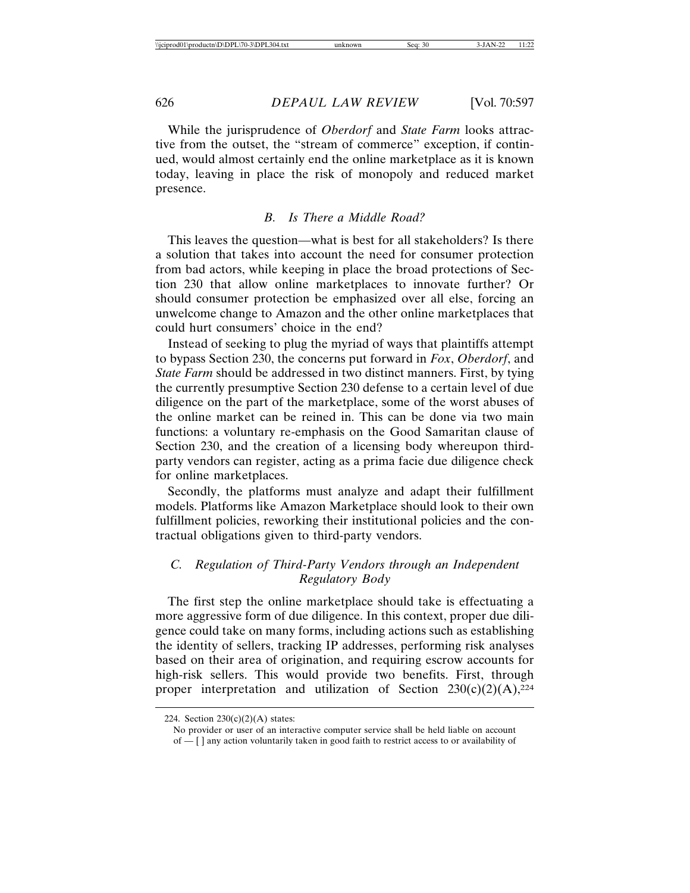While the jurisprudence of *Oberdorf* and *State Farm* looks attractive from the outset, the "stream of commerce" exception, if continued, would almost certainly end the online marketplace as it is known today, leaving in place the risk of monopoly and reduced market presence.

#### *B. Is There a Middle Road?*

This leaves the question—what is best for all stakeholders? Is there a solution that takes into account the need for consumer protection from bad actors, while keeping in place the broad protections of Section 230 that allow online marketplaces to innovate further? Or should consumer protection be emphasized over all else, forcing an unwelcome change to Amazon and the other online marketplaces that could hurt consumers' choice in the end?

Instead of seeking to plug the myriad of ways that plaintiffs attempt to bypass Section 230, the concerns put forward in *Fox*, *Oberdorf*, and *State Farm* should be addressed in two distinct manners. First, by tying the currently presumptive Section 230 defense to a certain level of due diligence on the part of the marketplace, some of the worst abuses of the online market can be reined in. This can be done via two main functions: a voluntary re-emphasis on the Good Samaritan clause of Section 230, and the creation of a licensing body whereupon thirdparty vendors can register, acting as a prima facie due diligence check for online marketplaces.

Secondly, the platforms must analyze and adapt their fulfillment models. Platforms like Amazon Marketplace should look to their own fulfillment policies, reworking their institutional policies and the contractual obligations given to third-party vendors.

## *C. Regulation of Third-Party Vendors through an Independent Regulatory Body*

The first step the online marketplace should take is effectuating a more aggressive form of due diligence. In this context, proper due diligence could take on many forms, including actions such as establishing the identity of sellers, tracking IP addresses, performing risk analyses based on their area of origination, and requiring escrow accounts for high-risk sellers. This would provide two benefits. First, through proper interpretation and utilization of Section  $230(c)(2)(A)$ ,  $224$ 

<sup>224.</sup> Section  $230(c)(2)(A)$  states:

No provider or user of an interactive computer service shall be held liable on account of — [ ] any action voluntarily taken in good faith to restrict access to or availability of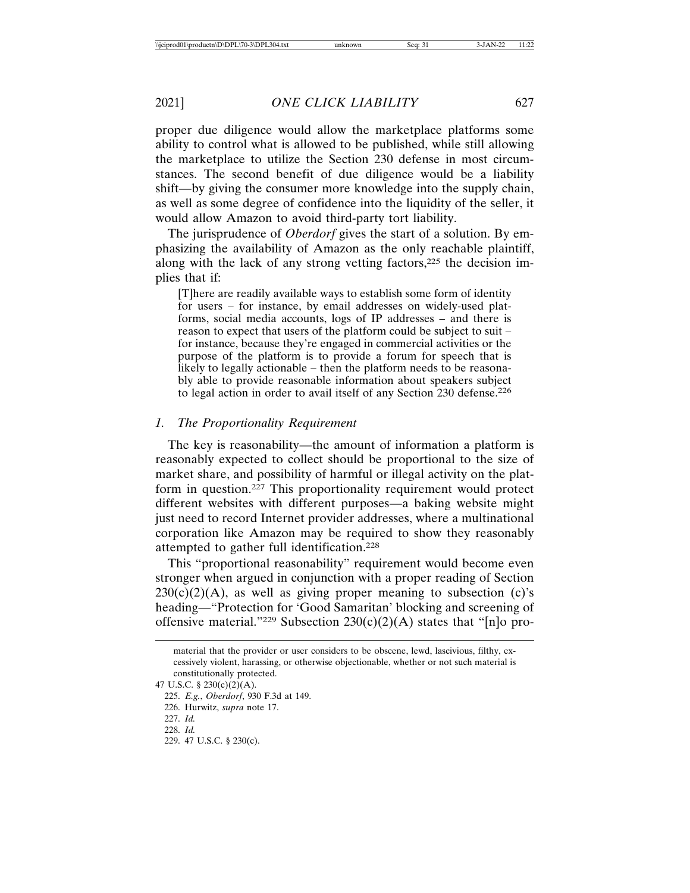proper due diligence would allow the marketplace platforms some ability to control what is allowed to be published, while still allowing the marketplace to utilize the Section 230 defense in most circumstances. The second benefit of due diligence would be a liability shift—by giving the consumer more knowledge into the supply chain, as well as some degree of confidence into the liquidity of the seller, it would allow Amazon to avoid third-party tort liability.

The jurisprudence of *Oberdorf* gives the start of a solution. By emphasizing the availability of Amazon as the only reachable plaintiff, along with the lack of any strong vetting factors,<sup>225</sup> the decision implies that if:

[T]here are readily available ways to establish some form of identity for users – for instance, by email addresses on widely-used platforms, social media accounts, logs of IP addresses – and there is reason to expect that users of the platform could be subject to suit – for instance, because they're engaged in commercial activities or the purpose of the platform is to provide a forum for speech that is likely to legally actionable – then the platform needs to be reasonably able to provide reasonable information about speakers subject to legal action in order to avail itself of any Section 230 defense.226

#### *1. The Proportionality Requirement*

The key is reasonability—the amount of information a platform is reasonably expected to collect should be proportional to the size of market share, and possibility of harmful or illegal activity on the platform in question.227 This proportionality requirement would protect different websites with different purposes—a baking website might just need to record Internet provider addresses, where a multinational corporation like Amazon may be required to show they reasonably attempted to gather full identification.228

This "proportional reasonability" requirement would become even stronger when argued in conjunction with a proper reading of Section  $230(c)(2)(A)$ , as well as giving proper meaning to subsection (c)'s heading—"Protection for 'Good Samaritan' blocking and screening of offensive material."<sup>229</sup> Subsection  $230(c)(2)(A)$  states that "[n]o pro-

material that the provider or user considers to be obscene, lewd, lascivious, filthy, excessively violent, harassing, or otherwise objectionable, whether or not such material is constitutionally protected.

<sup>47</sup> U.S.C. § 230(c)(2)(A).

<sup>225.</sup> *E.g.*, *Oberdorf*, 930 F.3d at 149.

<sup>226.</sup> Hurwitz, *supra* note 17.

<sup>227.</sup> *Id.*

<sup>228.</sup> *Id.*

<sup>229. 47</sup> U.S.C. § 230(c).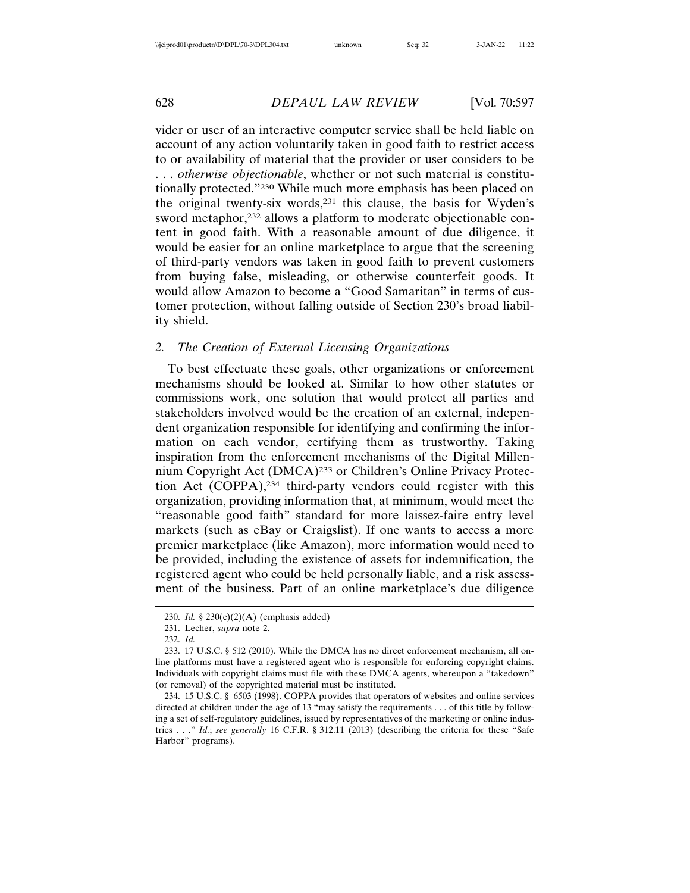vider or user of an interactive computer service shall be held liable on account of any action voluntarily taken in good faith to restrict access to or availability of material that the provider or user considers to be . . . *otherwise objectionable*, whether or not such material is constitutionally protected."230 While much more emphasis has been placed on the original twenty-six words,231 this clause, the basis for Wyden's sword metaphor,<sup>232</sup> allows a platform to moderate objectionable content in good faith. With a reasonable amount of due diligence, it would be easier for an online marketplace to argue that the screening of third-party vendors was taken in good faith to prevent customers from buying false, misleading, or otherwise counterfeit goods. It would allow Amazon to become a "Good Samaritan" in terms of customer protection, without falling outside of Section 230's broad liability shield.

#### *2. The Creation of External Licensing Organizations*

To best effectuate these goals, other organizations or enforcement mechanisms should be looked at. Similar to how other statutes or commissions work, one solution that would protect all parties and stakeholders involved would be the creation of an external, independent organization responsible for identifying and confirming the information on each vendor, certifying them as trustworthy. Taking inspiration from the enforcement mechanisms of the Digital Millennium Copyright Act (DMCA)233 or Children's Online Privacy Protection Act (COPPA),234 third-party vendors could register with this organization, providing information that, at minimum, would meet the "reasonable good faith" standard for more laissez-faire entry level markets (such as eBay or Craigslist). If one wants to access a more premier marketplace (like Amazon), more information would need to be provided, including the existence of assets for indemnification, the registered agent who could be held personally liable, and a risk assessment of the business. Part of an online marketplace's due diligence

<sup>230.</sup> *Id.* § 230(c)(2)(A) (emphasis added)

<sup>231.</sup> Lecher, *supra* note 2.

<sup>232.</sup> *Id.*

<sup>233. 17</sup> U.S.C. § 512 (2010). While the DMCA has no direct enforcement mechanism, all online platforms must have a registered agent who is responsible for enforcing copyright claims. Individuals with copyright claims must file with these DMCA agents, whereupon a "takedown" (or removal) of the copyrighted material must be instituted.

<sup>234. 15</sup> U.S.C. §\_6503 (1998). COPPA provides that operators of websites and online services directed at children under the age of 13 "may satisfy the requirements . . . of this title by following a set of self-regulatory guidelines, issued by representatives of the marketing or online industries . . ." *Id.*; *see generally* 16 C.F.R. § 312.11 (2013) (describing the criteria for these "Safe Harbor" programs).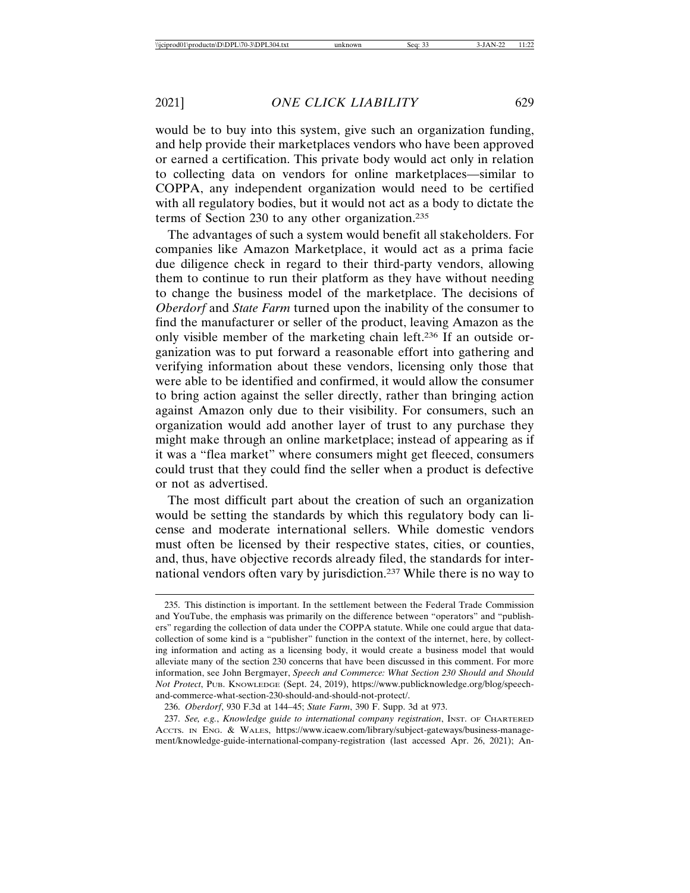would be to buy into this system, give such an organization funding, and help provide their marketplaces vendors who have been approved or earned a certification. This private body would act only in relation to collecting data on vendors for online marketplaces—similar to COPPA, any independent organization would need to be certified with all regulatory bodies, but it would not act as a body to dictate the terms of Section 230 to any other organization.235

The advantages of such a system would benefit all stakeholders. For companies like Amazon Marketplace, it would act as a prima facie due diligence check in regard to their third-party vendors, allowing them to continue to run their platform as they have without needing to change the business model of the marketplace. The decisions of *Oberdorf* and *State Farm* turned upon the inability of the consumer to find the manufacturer or seller of the product, leaving Amazon as the only visible member of the marketing chain left.236 If an outside organization was to put forward a reasonable effort into gathering and verifying information about these vendors, licensing only those that were able to be identified and confirmed, it would allow the consumer to bring action against the seller directly, rather than bringing action against Amazon only due to their visibility. For consumers, such an organization would add another layer of trust to any purchase they might make through an online marketplace; instead of appearing as if it was a "flea market" where consumers might get fleeced, consumers could trust that they could find the seller when a product is defective or not as advertised.

The most difficult part about the creation of such an organization would be setting the standards by which this regulatory body can license and moderate international sellers. While domestic vendors must often be licensed by their respective states, cities, or counties, and, thus, have objective records already filed, the standards for international vendors often vary by jurisdiction.237 While there is no way to

<sup>235.</sup> This distinction is important. In the settlement between the Federal Trade Commission and YouTube, the emphasis was primarily on the difference between "operators" and "publishers" regarding the collection of data under the COPPA statute. While one could argue that datacollection of some kind is a "publisher" function in the context of the internet, here, by collecting information and acting as a licensing body, it would create a business model that would alleviate many of the section 230 concerns that have been discussed in this comment. For more information, see John Bergmayer, *Speech and Commerce: What Section 230 Should and Should Not Protect*, PUB. KNOWLEDGE (Sept. 24, 2019), https://www.publicknowledge.org/blog/speechand-commerce-what-section-230-should-and-should-not-protect/.

<sup>236.</sup> *Oberdorf*, 930 F.3d at 144–45; *State Farm*, 390 F. Supp. 3d at 973.

<sup>237.</sup> *See, e.g.*, *Knowledge guide to international company registration*, INST. OF CHARTERED ACCTS. IN ENG. & WALES, https://www.icaew.com/library/subject-gateways/business-management/knowledge-guide-international-company-registration (last accessed Apr. 26, 2021); An-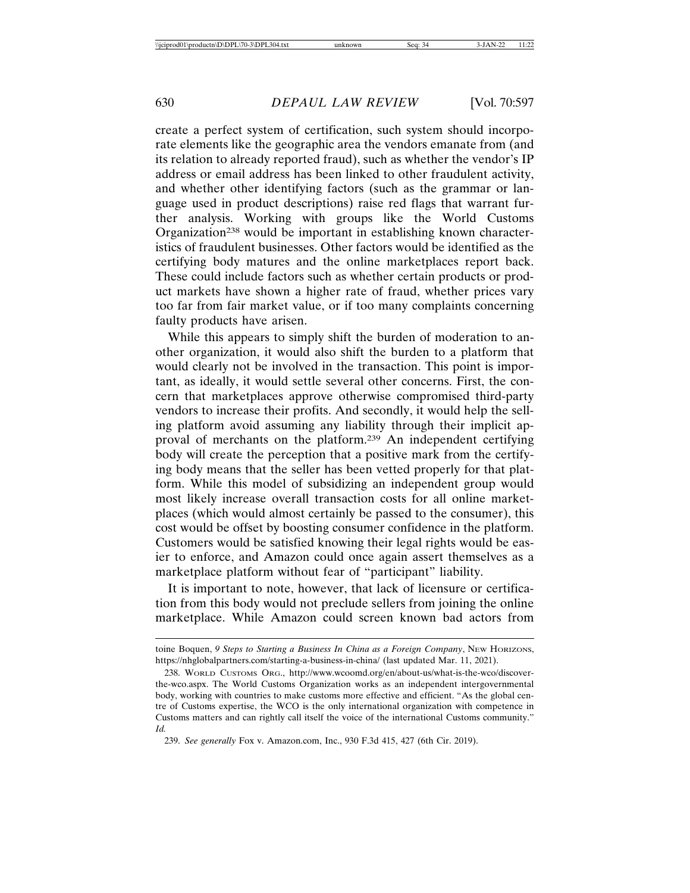create a perfect system of certification, such system should incorporate elements like the geographic area the vendors emanate from (and its relation to already reported fraud), such as whether the vendor's IP address or email address has been linked to other fraudulent activity, and whether other identifying factors (such as the grammar or language used in product descriptions) raise red flags that warrant further analysis. Working with groups like the World Customs Organization<sup>238</sup> would be important in establishing known characteristics of fraudulent businesses. Other factors would be identified as the certifying body matures and the online marketplaces report back. These could include factors such as whether certain products or product markets have shown a higher rate of fraud, whether prices vary too far from fair market value, or if too many complaints concerning faulty products have arisen.

While this appears to simply shift the burden of moderation to another organization, it would also shift the burden to a platform that would clearly not be involved in the transaction. This point is important, as ideally, it would settle several other concerns. First, the concern that marketplaces approve otherwise compromised third-party vendors to increase their profits. And secondly, it would help the selling platform avoid assuming any liability through their implicit approval of merchants on the platform.239 An independent certifying body will create the perception that a positive mark from the certifying body means that the seller has been vetted properly for that platform. While this model of subsidizing an independent group would most likely increase overall transaction costs for all online marketplaces (which would almost certainly be passed to the consumer), this cost would be offset by boosting consumer confidence in the platform. Customers would be satisfied knowing their legal rights would be easier to enforce, and Amazon could once again assert themselves as a marketplace platform without fear of "participant" liability.

It is important to note, however, that lack of licensure or certification from this body would not preclude sellers from joining the online marketplace. While Amazon could screen known bad actors from

toine Boquen, *9 Steps to Starting a Business In China as a Foreign Company*, NEW HORIZONS, https://nhglobalpartners.com/starting-a-business-in-china/ (last updated Mar. 11, 2021).

<sup>238.</sup> WORLD CUSTOMS ORG., http://www.wcoomd.org/en/about-us/what-is-the-wco/discoverthe-wco.aspx. The World Customs Organization works as an independent intergovernmental body, working with countries to make customs more effective and efficient. "As the global centre of Customs expertise, the WCO is the only international organization with competence in Customs matters and can rightly call itself the voice of the international Customs community." *Id.*

<sup>239.</sup> *See generally* Fox v. Amazon.com, Inc., 930 F.3d 415, 427 (6th Cir. 2019).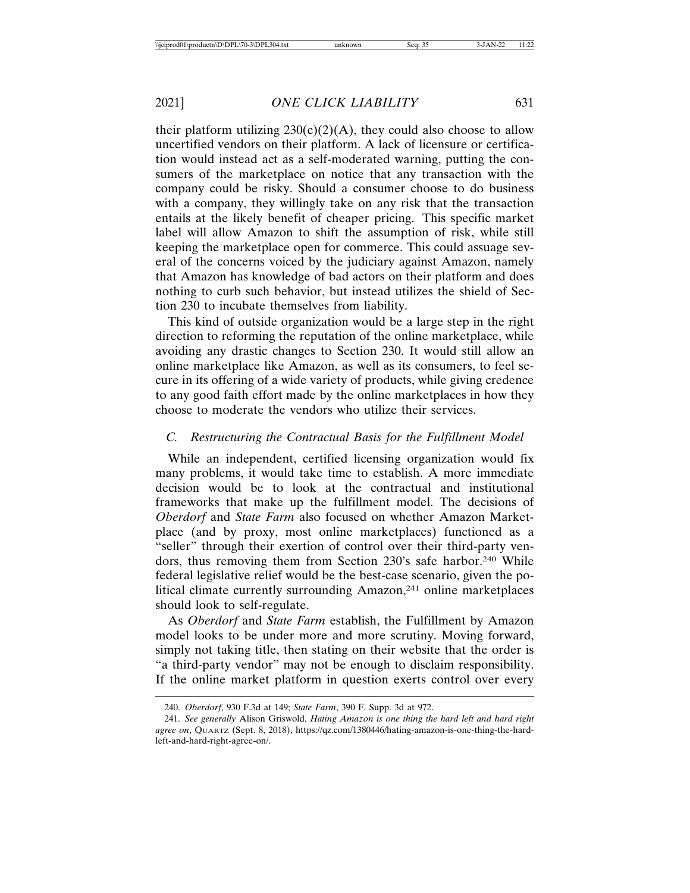their platform utilizing  $230(c)(2)(A)$ , they could also choose to allow uncertified vendors on their platform. A lack of licensure or certification would instead act as a self-moderated warning, putting the consumers of the marketplace on notice that any transaction with the company could be risky. Should a consumer choose to do business with a company, they willingly take on any risk that the transaction entails at the likely benefit of cheaper pricing. This specific market label will allow Amazon to shift the assumption of risk, while still keeping the marketplace open for commerce. This could assuage several of the concerns voiced by the judiciary against Amazon, namely that Amazon has knowledge of bad actors on their platform and does nothing to curb such behavior, but instead utilizes the shield of Section 230 to incubate themselves from liability.

This kind of outside organization would be a large step in the right direction to reforming the reputation of the online marketplace, while avoiding any drastic changes to Section 230. It would still allow an online marketplace like Amazon, as well as its consumers, to feel secure in its offering of a wide variety of products, while giving credence to any good faith effort made by the online marketplaces in how they choose to moderate the vendors who utilize their services.

## *C. Restructuring the Contractual Basis for the Fulfillment Model*

While an independent, certified licensing organization would fix many problems, it would take time to establish. A more immediate decision would be to look at the contractual and institutional frameworks that make up the fulfillment model. The decisions of *Oberdorf* and *State Farm* also focused on whether Amazon Marketplace (and by proxy, most online marketplaces) functioned as a "seller" through their exertion of control over their third-party vendors, thus removing them from Section 230's safe harbor.<sup>240</sup> While federal legislative relief would be the best-case scenario, given the political climate currently surrounding Amazon,<sup>241</sup> online marketplaces should look to self-regulate.

As *Oberdorf* and *State Farm* establish, the Fulfillment by Amazon model looks to be under more and more scrutiny. Moving forward, simply not taking title, then stating on their website that the order is "a third-party vendor" may not be enough to disclaim responsibility. If the online market platform in question exerts control over every

<sup>240.</sup> *Oberdorf*, 930 F.3d at 149; *State Farm*, 390 F. Supp. 3d at 972.

<sup>241.</sup> *See generally* Alison Griswold, *Hating Amazon is one thing the hard left and hard right agree on*, QUARTZ (Sept. 8, 2018), https://qz.com/1380446/hating-amazon-is-one-thing-the-hardleft-and-hard-right-agree-on/.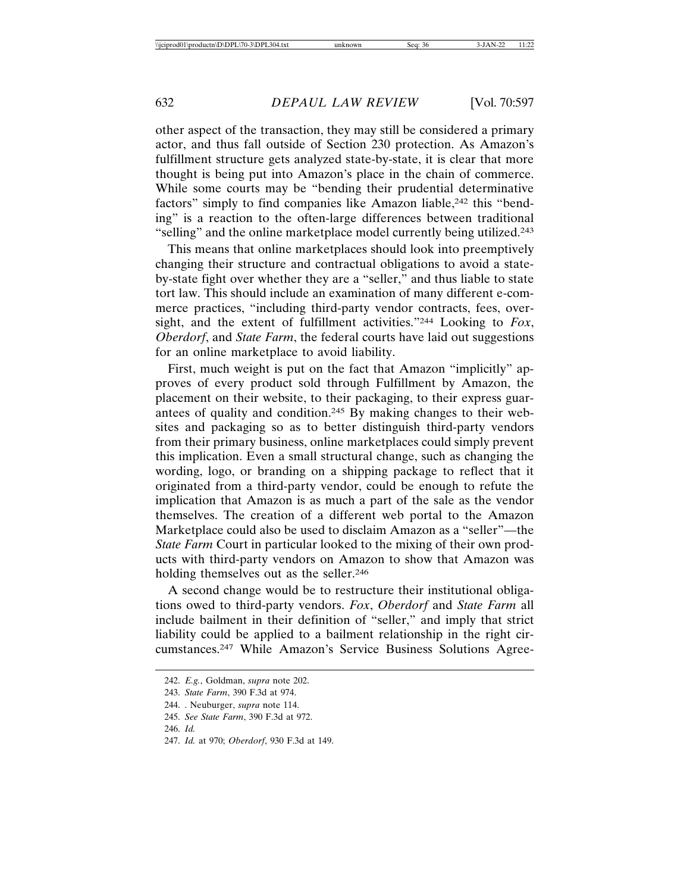other aspect of the transaction, they may still be considered a primary actor, and thus fall outside of Section 230 protection. As Amazon's fulfillment structure gets analyzed state-by-state, it is clear that more thought is being put into Amazon's place in the chain of commerce. While some courts may be "bending their prudential determinative factors" simply to find companies like Amazon liable,<sup>242</sup> this "bending" is a reaction to the often-large differences between traditional "selling" and the online marketplace model currently being utilized.<sup>243</sup>

This means that online marketplaces should look into preemptively changing their structure and contractual obligations to avoid a stateby-state fight over whether they are a "seller," and thus liable to state tort law. This should include an examination of many different e-commerce practices, "including third-party vendor contracts, fees, oversight, and the extent of fulfillment activities."244 Looking to *Fox*, *Oberdorf*, and *State Farm*, the federal courts have laid out suggestions for an online marketplace to avoid liability.

First, much weight is put on the fact that Amazon "implicitly" approves of every product sold through Fulfillment by Amazon, the placement on their website, to their packaging, to their express guarantees of quality and condition.245 By making changes to their websites and packaging so as to better distinguish third-party vendors from their primary business, online marketplaces could simply prevent this implication. Even a small structural change, such as changing the wording, logo, or branding on a shipping package to reflect that it originated from a third-party vendor, could be enough to refute the implication that Amazon is as much a part of the sale as the vendor themselves. The creation of a different web portal to the Amazon Marketplace could also be used to disclaim Amazon as a "seller"—the *State Farm* Court in particular looked to the mixing of their own products with third-party vendors on Amazon to show that Amazon was holding themselves out as the seller.<sup>246</sup>

A second change would be to restructure their institutional obligations owed to third-party vendors. *Fox*, *Oberdorf* and *State Farm* all include bailment in their definition of "seller," and imply that strict liability could be applied to a bailment relationship in the right circumstances.247 While Amazon's Service Business Solutions Agree-

<sup>242.</sup> *E.g.*, Goldman, *supra* note 202.

<sup>243.</sup> *State Farm*, 390 F.3d at 974.

<sup>244. .</sup> Neuburger, *supra* note 114.

<sup>245.</sup> *See State Farm*, 390 F.3d at 972.

<sup>246.</sup> *Id.*

<sup>247.</sup> *Id.* at 970; *Oberdorf*, 930 F.3d at 149.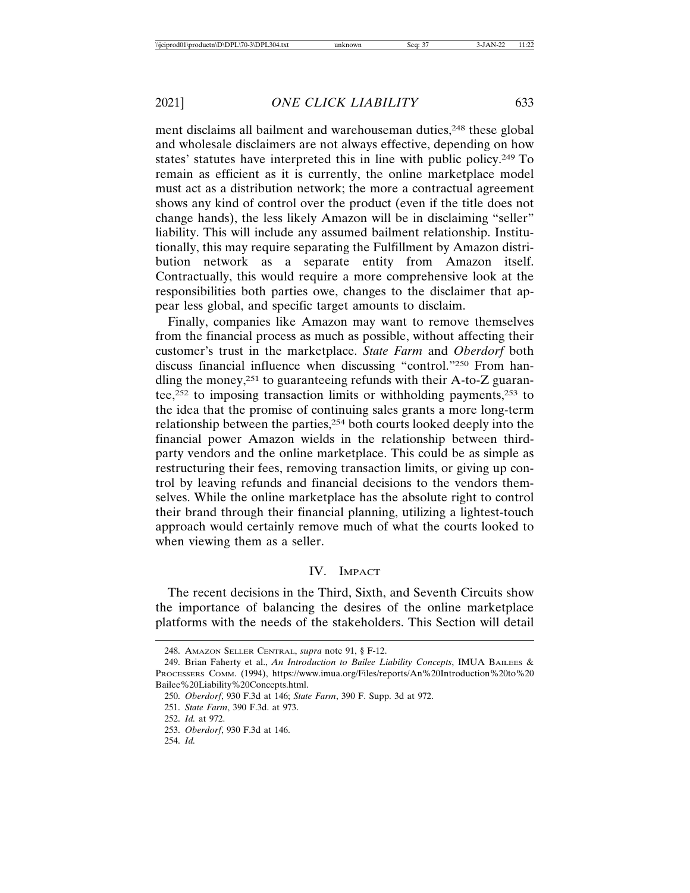ment disclaims all bailment and warehouseman duties,<sup>248</sup> these global and wholesale disclaimers are not always effective, depending on how states' statutes have interpreted this in line with public policy.249 To remain as efficient as it is currently, the online marketplace model must act as a distribution network; the more a contractual agreement shows any kind of control over the product (even if the title does not change hands), the less likely Amazon will be in disclaiming "seller" liability. This will include any assumed bailment relationship. Institutionally, this may require separating the Fulfillment by Amazon distribution network as a separate entity from Amazon itself. Contractually, this would require a more comprehensive look at the responsibilities both parties owe, changes to the disclaimer that appear less global, and specific target amounts to disclaim.

Finally, companies like Amazon may want to remove themselves from the financial process as much as possible, without affecting their customer's trust in the marketplace. *State Farm* and *Oberdorf* both discuss financial influence when discussing "control."250 From handling the money,<sup>251</sup> to guaranteeing refunds with their A-to-Z guarantee,252 to imposing transaction limits or withholding payments,253 to the idea that the promise of continuing sales grants a more long-term relationship between the parties,<sup>254</sup> both courts looked deeply into the financial power Amazon wields in the relationship between thirdparty vendors and the online marketplace. This could be as simple as restructuring their fees, removing transaction limits, or giving up control by leaving refunds and financial decisions to the vendors themselves. While the online marketplace has the absolute right to control their brand through their financial planning, utilizing a lightest-touch approach would certainly remove much of what the courts looked to when viewing them as a seller.

#### IV. IMPACT

The recent decisions in the Third, Sixth, and Seventh Circuits show the importance of balancing the desires of the online marketplace platforms with the needs of the stakeholders. This Section will detail

<sup>248.</sup> AMAZON SELLER CENTRAL, *supra* note 91, § F-12.

<sup>249.</sup> Brian Faherty et al., *An Introduction to Bailee Liability Concepts*, IMUA BAILEES & PROCESSERS COMM. (1994), https://www.imua.org/Files/reports/An%20Introduction%20to%20 Bailee%20Liability%20Concepts.html.

<sup>250.</sup> *Oberdorf*, 930 F.3d at 146; *State Farm*, 390 F. Supp. 3d at 972.

<sup>251.</sup> *State Farm*, 390 F.3d. at 973.

<sup>252.</sup> *Id.* at 972.

<sup>253.</sup> *Oberdorf*, 930 F.3d at 146.

<sup>254.</sup> *Id.*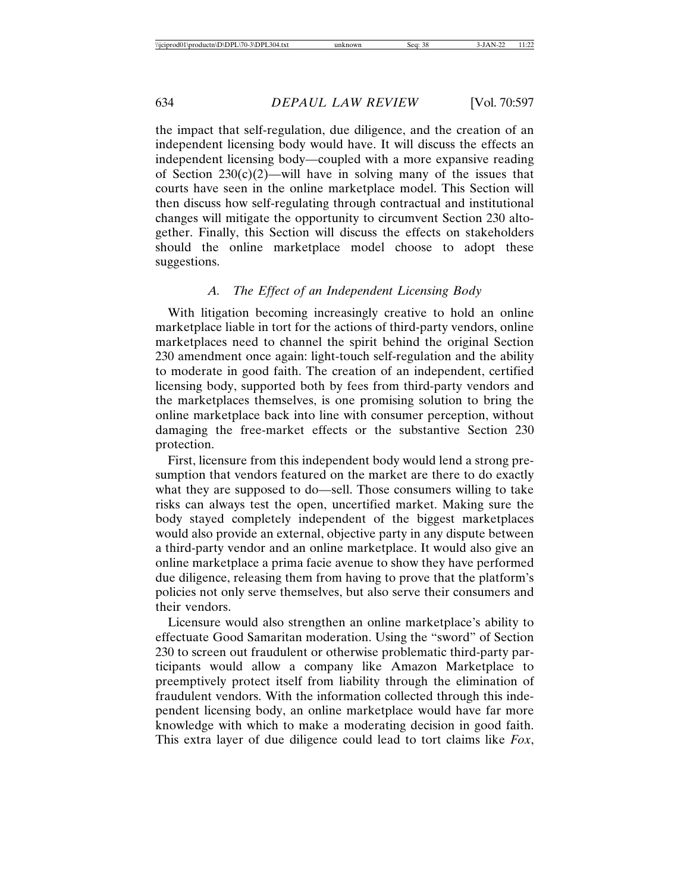the impact that self-regulation, due diligence, and the creation of an independent licensing body would have. It will discuss the effects an independent licensing body—coupled with a more expansive reading of Section  $230(c)(2)$ —will have in solving many of the issues that courts have seen in the online marketplace model. This Section will then discuss how self-regulating through contractual and institutional changes will mitigate the opportunity to circumvent Section 230 altogether. Finally, this Section will discuss the effects on stakeholders should the online marketplace model choose to adopt these suggestions.

## *A. The Effect of an Independent Licensing Body*

With litigation becoming increasingly creative to hold an online marketplace liable in tort for the actions of third-party vendors, online marketplaces need to channel the spirit behind the original Section 230 amendment once again: light-touch self-regulation and the ability to moderate in good faith. The creation of an independent, certified licensing body, supported both by fees from third-party vendors and the marketplaces themselves, is one promising solution to bring the online marketplace back into line with consumer perception, without damaging the free-market effects or the substantive Section 230 protection.

First, licensure from this independent body would lend a strong presumption that vendors featured on the market are there to do exactly what they are supposed to do—sell. Those consumers willing to take risks can always test the open, uncertified market. Making sure the body stayed completely independent of the biggest marketplaces would also provide an external, objective party in any dispute between a third-party vendor and an online marketplace. It would also give an online marketplace a prima facie avenue to show they have performed due diligence, releasing them from having to prove that the platform's policies not only serve themselves, but also serve their consumers and their vendors.

Licensure would also strengthen an online marketplace's ability to effectuate Good Samaritan moderation. Using the "sword" of Section 230 to screen out fraudulent or otherwise problematic third-party participants would allow a company like Amazon Marketplace to preemptively protect itself from liability through the elimination of fraudulent vendors. With the information collected through this independent licensing body, an online marketplace would have far more knowledge with which to make a moderating decision in good faith. This extra layer of due diligence could lead to tort claims like *Fox*,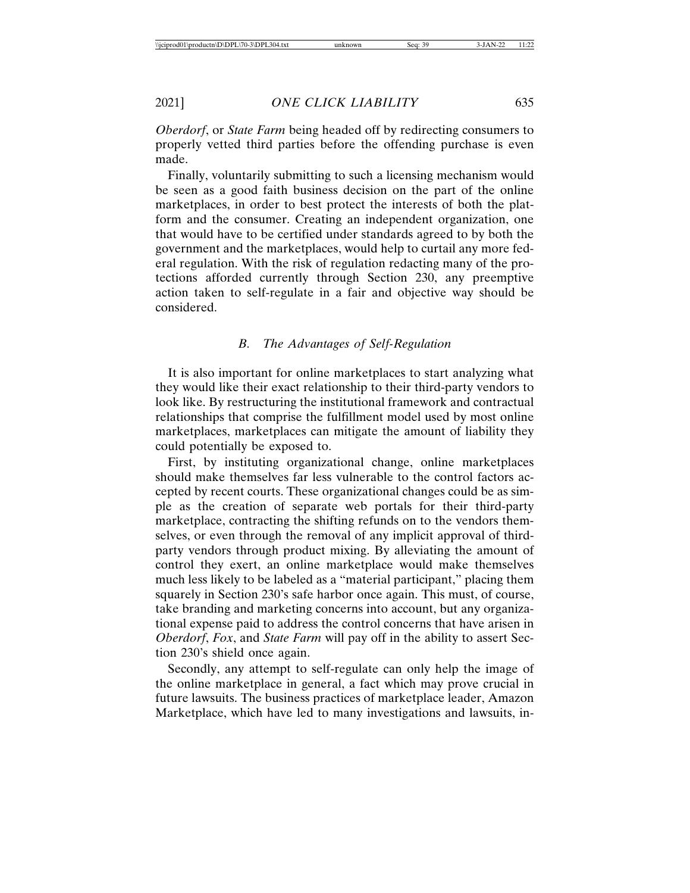*Oberdorf*, or *State Farm* being headed off by redirecting consumers to properly vetted third parties before the offending purchase is even made.

Finally, voluntarily submitting to such a licensing mechanism would be seen as a good faith business decision on the part of the online marketplaces, in order to best protect the interests of both the platform and the consumer. Creating an independent organization, one that would have to be certified under standards agreed to by both the government and the marketplaces, would help to curtail any more federal regulation. With the risk of regulation redacting many of the protections afforded currently through Section 230, any preemptive action taken to self-regulate in a fair and objective way should be considered.

## *B. The Advantages of Self-Regulation*

It is also important for online marketplaces to start analyzing what they would like their exact relationship to their third-party vendors to look like. By restructuring the institutional framework and contractual relationships that comprise the fulfillment model used by most online marketplaces, marketplaces can mitigate the amount of liability they could potentially be exposed to.

First, by instituting organizational change, online marketplaces should make themselves far less vulnerable to the control factors accepted by recent courts. These organizational changes could be as simple as the creation of separate web portals for their third-party marketplace, contracting the shifting refunds on to the vendors themselves, or even through the removal of any implicit approval of thirdparty vendors through product mixing. By alleviating the amount of control they exert, an online marketplace would make themselves much less likely to be labeled as a "material participant," placing them squarely in Section 230's safe harbor once again. This must, of course, take branding and marketing concerns into account, but any organizational expense paid to address the control concerns that have arisen in *Oberdorf*, *Fox*, and *State Farm* will pay off in the ability to assert Section 230's shield once again.

Secondly, any attempt to self-regulate can only help the image of the online marketplace in general, a fact which may prove crucial in future lawsuits. The business practices of marketplace leader, Amazon Marketplace, which have led to many investigations and lawsuits, in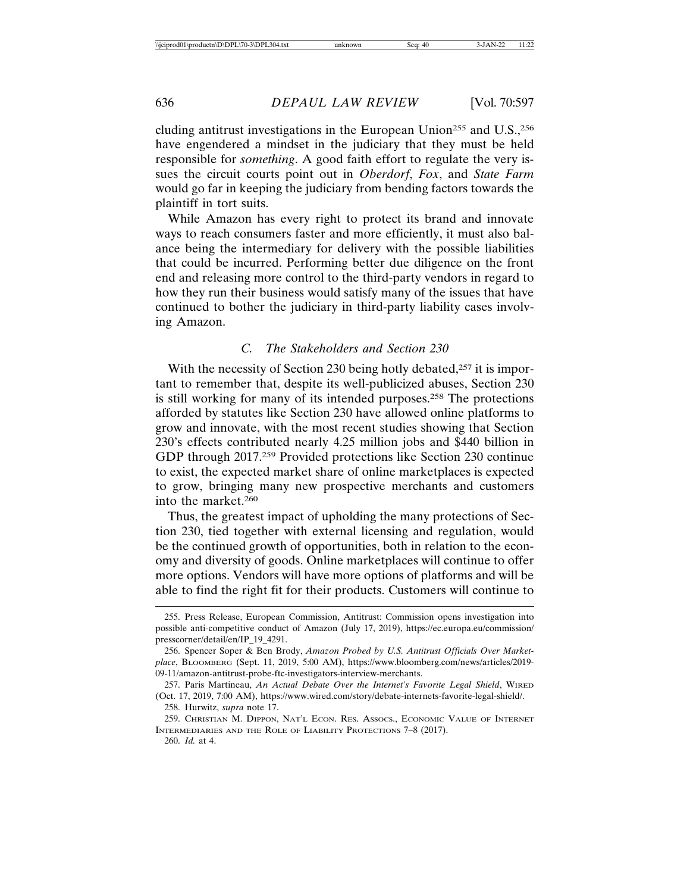cluding antitrust investigations in the European Union255 and U.S.,256 have engendered a mindset in the judiciary that they must be held responsible for *something*. A good faith effort to regulate the very issues the circuit courts point out in *Oberdorf*, *Fox*, and *State Farm* would go far in keeping the judiciary from bending factors towards the plaintiff in tort suits.

While Amazon has every right to protect its brand and innovate ways to reach consumers faster and more efficiently, it must also balance being the intermediary for delivery with the possible liabilities that could be incurred. Performing better due diligence on the front end and releasing more control to the third-party vendors in regard to how they run their business would satisfy many of the issues that have continued to bother the judiciary in third-party liability cases involving Amazon.

#### *C. The Stakeholders and Section 230*

With the necessity of Section 230 being hotly debated,<sup>257</sup> it is important to remember that, despite its well-publicized abuses, Section 230 is still working for many of its intended purposes.258 The protections afforded by statutes like Section 230 have allowed online platforms to grow and innovate, with the most recent studies showing that Section 230's effects contributed nearly 4.25 million jobs and \$440 billion in GDP through 2017.259 Provided protections like Section 230 continue to exist, the expected market share of online marketplaces is expected to grow, bringing many new prospective merchants and customers into the market.260

Thus, the greatest impact of upholding the many protections of Section 230, tied together with external licensing and regulation, would be the continued growth of opportunities, both in relation to the economy and diversity of goods. Online marketplaces will continue to offer more options. Vendors will have more options of platforms and will be able to find the right fit for their products. Customers will continue to

258. Hurwitz, *supra* note 17.

<sup>255.</sup> Press Release, European Commission, Antitrust: Commission opens investigation into possible anti-competitive conduct of Amazon (July 17, 2019), https://ec.europa.eu/commission/ presscorner/detail/en/IP\_19\_4291.

<sup>256.</sup> Spencer Soper & Ben Brody, *Amazon Probed by U.S. Antitrust Officials Over Marketplace*, BLOOMBERG (Sept. 11, 2019, 5:00 AM), https://www.bloomberg.com/news/articles/2019- 09-11/amazon-antitrust-probe-ftc-investigators-interview-merchants.

<sup>257.</sup> Paris Martineau, *An Actual Debate Over the Internet's Favorite Legal Shield*, WIRED (Oct. 17, 2019, 7:00 AM), https://www.wired.com/story/debate-internets-favorite-legal-shield/.

<sup>259.</sup> CHRISTIAN M. DIPPON, NAT'L ECON. RES. ASSOCS., ECONOMIC VALUE OF INTERNET INTERMEDIARIES AND THE ROLE OF LIABILITY PROTECTIONS 7–8 (2017).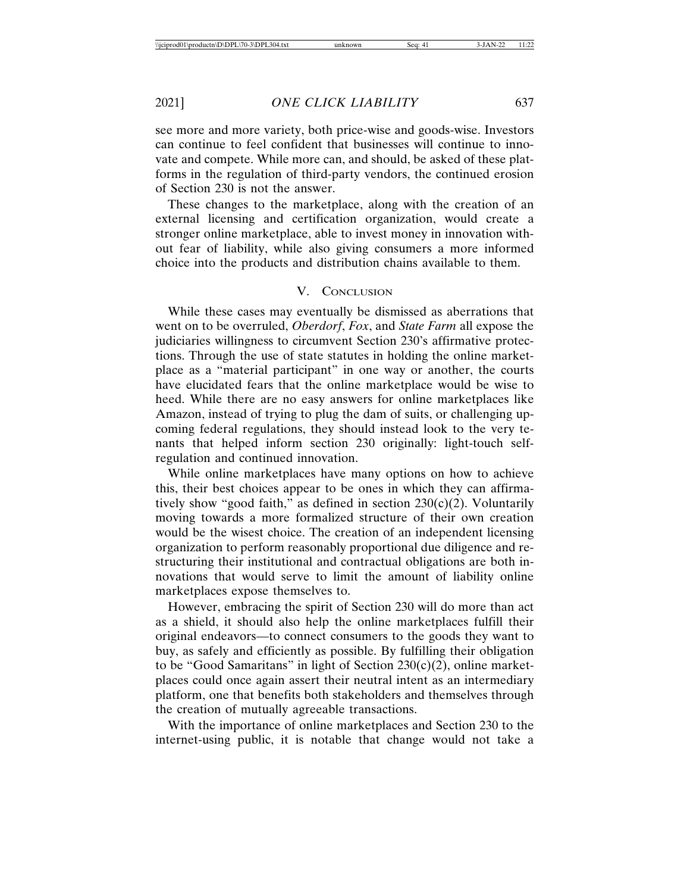see more and more variety, both price-wise and goods-wise. Investors can continue to feel confident that businesses will continue to innovate and compete. While more can, and should, be asked of these platforms in the regulation of third-party vendors, the continued erosion of Section 230 is not the answer.

These changes to the marketplace, along with the creation of an external licensing and certification organization, would create a stronger online marketplace, able to invest money in innovation without fear of liability, while also giving consumers a more informed choice into the products and distribution chains available to them.

#### V. CONCLUSION

While these cases may eventually be dismissed as aberrations that went on to be overruled, *Oberdorf*, *Fox*, and *State Farm* all expose the judiciaries willingness to circumvent Section 230's affirmative protections. Through the use of state statutes in holding the online marketplace as a "material participant" in one way or another, the courts have elucidated fears that the online marketplace would be wise to heed. While there are no easy answers for online marketplaces like Amazon, instead of trying to plug the dam of suits, or challenging upcoming federal regulations, they should instead look to the very tenants that helped inform section 230 originally: light-touch selfregulation and continued innovation.

While online marketplaces have many options on how to achieve this, their best choices appear to be ones in which they can affirmatively show "good faith," as defined in section  $230(c)(2)$ . Voluntarily moving towards a more formalized structure of their own creation would be the wisest choice. The creation of an independent licensing organization to perform reasonably proportional due diligence and restructuring their institutional and contractual obligations are both innovations that would serve to limit the amount of liability online marketplaces expose themselves to.

However, embracing the spirit of Section 230 will do more than act as a shield, it should also help the online marketplaces fulfill their original endeavors—to connect consumers to the goods they want to buy, as safely and efficiently as possible. By fulfilling their obligation to be "Good Samaritans" in light of Section 230(c)(2), online marketplaces could once again assert their neutral intent as an intermediary platform, one that benefits both stakeholders and themselves through the creation of mutually agreeable transactions.

With the importance of online marketplaces and Section 230 to the internet-using public, it is notable that change would not take a